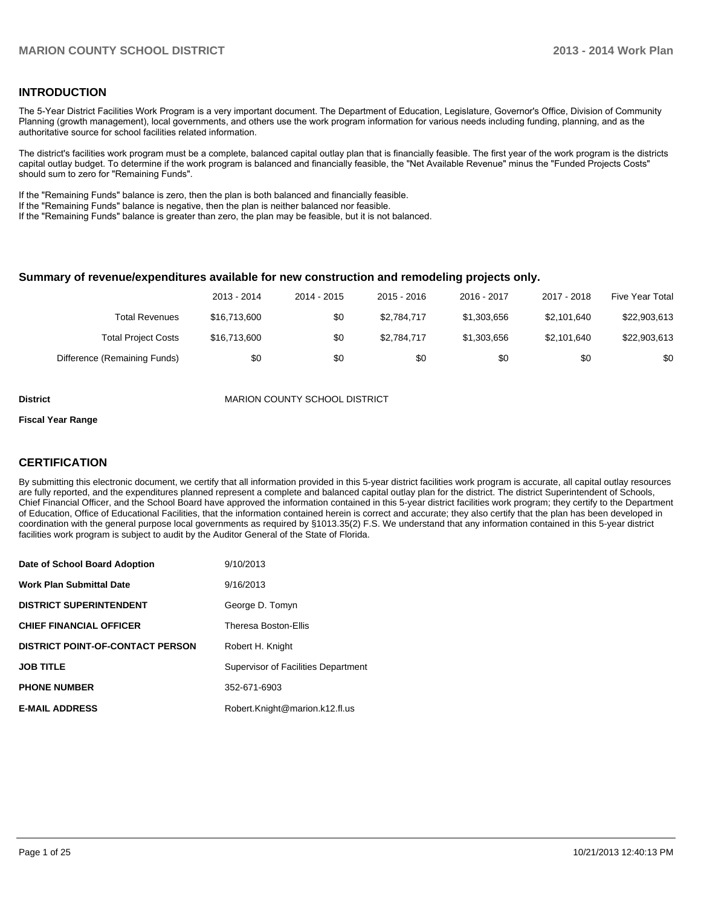#### **INTRODUCTION**

The 5-Year District Facilities Work Program is a very important document. The Department of Education, Legislature, Governor's Office, Division of Community Planning (growth management), local governments, and others use the work program information for various needs including funding, planning, and as the authoritative source for school facilities related information.

The district's facilities work program must be a complete, balanced capital outlay plan that is financially feasible. The first year of the work program is the districts capital outlay budget. To determine if the work program is balanced and financially feasible, the "Net Available Revenue" minus the "Funded Projects Costs" should sum to zero for "Remaining Funds".

If the "Remaining Funds" balance is zero, then the plan is both balanced and financially feasible.

If the "Remaining Funds" balance is negative, then the plan is neither balanced nor feasible.

If the "Remaining Funds" balance is greater than zero, the plan may be feasible, but it is not balanced.

#### **Summary of revenue/expenditures available for new construction and remodeling projects only.**

|                              | 2013 - 2014  | 2014 - 2015 | $2015 - 2016$ | $2016 - 2017$ | 2017 - 2018 | Five Year Total |
|------------------------------|--------------|-------------|---------------|---------------|-------------|-----------------|
| <b>Total Revenues</b>        | \$16,713,600 | \$0         | \$2.784.717   | \$1,303,656   | \$2.101.640 | \$22,903,613    |
| <b>Total Project Costs</b>   | \$16,713,600 | \$0         | \$2.784.717   | \$1,303,656   | \$2.101.640 | \$22,903,613    |
| Difference (Remaining Funds) | \$0          | \$0         | \$0           | \$0           | \$0         | \$0             |

**District MARION COUNTY SCHOOL DISTRICT** 

#### **Fiscal Year Range**

#### **CERTIFICATION**

By submitting this electronic document, we certify that all information provided in this 5-year district facilities work program is accurate, all capital outlay resources are fully reported, and the expenditures planned represent a complete and balanced capital outlay plan for the district. The district Superintendent of Schools, Chief Financial Officer, and the School Board have approved the information contained in this 5-year district facilities work program; they certify to the Department of Education, Office of Educational Facilities, that the information contained herein is correct and accurate; they also certify that the plan has been developed in coordination with the general purpose local governments as required by §1013.35(2) F.S. We understand that any information contained in this 5-year district facilities work program is subject to audit by the Auditor General of the State of Florida.

| Date of School Board Adoption           | 9/10/2013                           |
|-----------------------------------------|-------------------------------------|
| <b>Work Plan Submittal Date</b>         | 9/16/2013                           |
| <b>DISTRICT SUPERINTENDENT</b>          | George D. Tomyn                     |
| <b>CHIEF FINANCIAL OFFICER</b>          | Theresa Boston-Ellis                |
| <b>DISTRICT POINT-OF-CONTACT PERSON</b> | Robert H. Knight                    |
| <b>JOB TITLE</b>                        | Supervisor of Facilities Department |
| <b>PHONE NUMBER</b>                     | 352-671-6903                        |
| <b>E-MAIL ADDRESS</b>                   | Robert.Knight@marion.k12.fl.us      |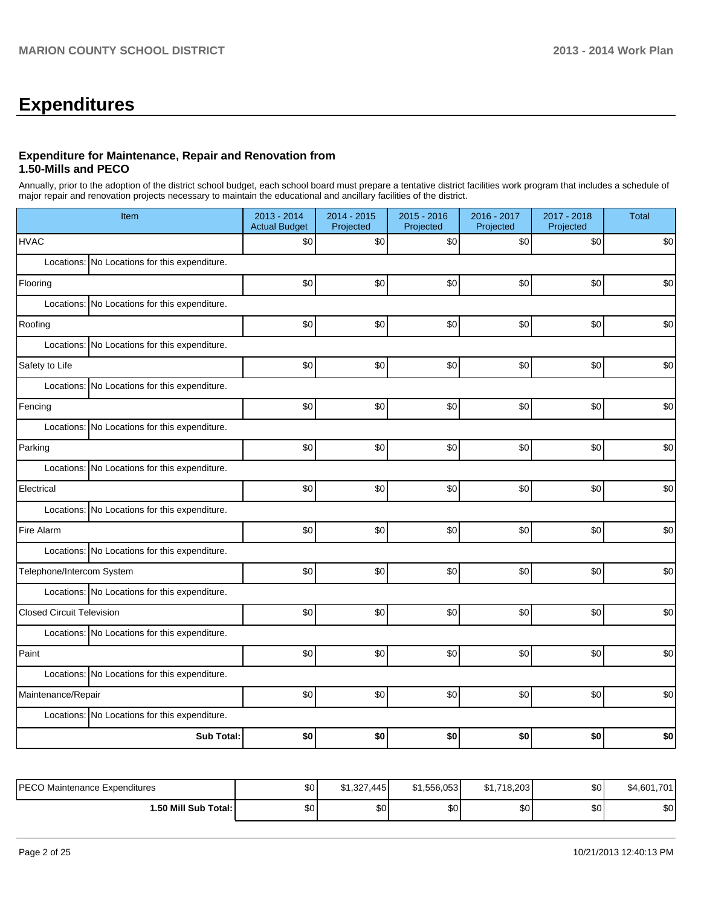# **Expenditures**

#### **Expenditure for Maintenance, Repair and Renovation from 1.50-Mills and PECO**

Annually, prior to the adoption of the district school budget, each school board must prepare a tentative district facilities work program that includes a schedule of major repair and renovation projects necessary to maintain the educational and ancillary facilities of the district.

| Item                                          | 2013 - 2014<br><b>Actual Budget</b> | 2014 - 2015<br>Projected | 2015 - 2016<br>Projected | 2016 - 2017<br>Projected | 2017 - 2018<br>Projected | <b>Total</b> |  |  |  |  |  |
|-----------------------------------------------|-------------------------------------|--------------------------|--------------------------|--------------------------|--------------------------|--------------|--|--|--|--|--|
| <b>HVAC</b>                                   | \$0                                 | \$0                      | \$0                      | \$0                      | \$0                      | \$0          |  |  |  |  |  |
| Locations: No Locations for this expenditure. |                                     |                          |                          |                          |                          |              |  |  |  |  |  |
| Flooring                                      | \$0                                 | \$0                      | \$0                      | \$0                      | \$0                      | \$0          |  |  |  |  |  |
| Locations: No Locations for this expenditure. |                                     |                          |                          |                          |                          |              |  |  |  |  |  |
| Roofing                                       | \$0                                 | \$0                      | \$0                      | \$0                      | \$0                      | \$0          |  |  |  |  |  |
| Locations: No Locations for this expenditure. |                                     |                          |                          |                          |                          |              |  |  |  |  |  |
| Safety to Life                                | \$0                                 | \$0                      | \$0                      | \$0                      | \$0                      | \$0          |  |  |  |  |  |
| Locations: No Locations for this expenditure. |                                     |                          |                          |                          |                          |              |  |  |  |  |  |
| Fencing                                       | \$0                                 | \$0                      | \$0                      | \$0                      | \$0                      | \$0          |  |  |  |  |  |
| Locations: No Locations for this expenditure. |                                     |                          |                          |                          |                          |              |  |  |  |  |  |
| Parking                                       | \$0                                 | \$0                      | \$0                      | \$0                      | \$0                      | \$0          |  |  |  |  |  |
| Locations: No Locations for this expenditure. |                                     |                          |                          |                          |                          |              |  |  |  |  |  |
| Electrical                                    | \$0                                 | \$0                      | \$0                      | \$0                      | \$0                      | \$0          |  |  |  |  |  |
| Locations: No Locations for this expenditure. |                                     |                          |                          |                          |                          |              |  |  |  |  |  |
| Fire Alarm                                    | \$0                                 | \$0                      | \$0                      | \$0                      | \$0                      | \$0          |  |  |  |  |  |
| Locations: No Locations for this expenditure. |                                     |                          |                          |                          |                          |              |  |  |  |  |  |
| Telephone/Intercom System                     | \$0                                 | \$0                      | \$0                      | \$0]                     | \$0                      | \$0          |  |  |  |  |  |
| Locations: No Locations for this expenditure. |                                     |                          |                          |                          |                          |              |  |  |  |  |  |
| <b>Closed Circuit Television</b>              | \$0                                 | \$0                      | \$0                      | \$0                      | \$0                      | \$0          |  |  |  |  |  |
| Locations: No Locations for this expenditure. |                                     |                          |                          |                          |                          |              |  |  |  |  |  |
| Paint                                         | \$0                                 | \$0                      | \$0                      | \$0                      | \$0                      | \$0          |  |  |  |  |  |
| Locations: No Locations for this expenditure. |                                     |                          |                          |                          |                          |              |  |  |  |  |  |
| Maintenance/Repair                            | \$0                                 | \$0                      | \$0                      | \$0                      | \$0                      | \$0          |  |  |  |  |  |
| Locations: No Locations for this expenditure. |                                     |                          |                          |                          |                          |              |  |  |  |  |  |
| <b>Sub Total:</b>                             | \$0                                 | \$0                      | \$0                      | \$0                      | \$0                      | \$0          |  |  |  |  |  |

| PECO Maintenance Expenditures | \$0 | \$1.327.445 | \$1.556.053 | .718.203<br>\$1., | \$0 <sub>1</sub> | \$4,601,701 |
|-------------------------------|-----|-------------|-------------|-------------------|------------------|-------------|
| 1.50 Mill Sub Total:          | \$0 | \$0         | ΦΩ<br>Φ∪    | \$0               | \$0 <sub>1</sub> | \$0         |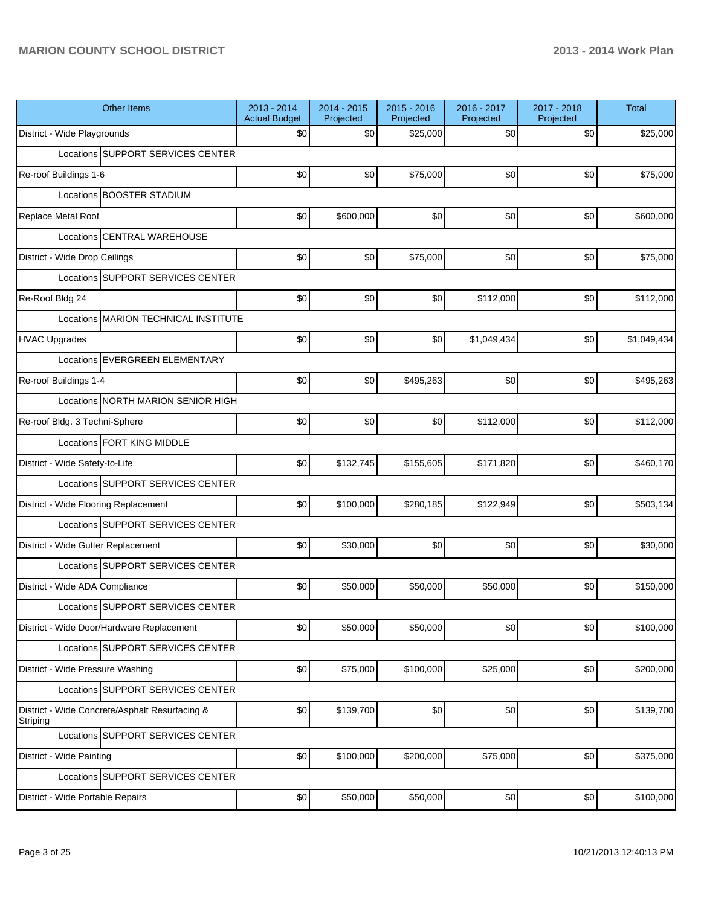| <b>Other Items</b>                                         | 2013 - 2014<br><b>Actual Budget</b> | $2014 - 2015$<br>Projected | $2015 - 2016$<br>Projected | 2016 - 2017<br>Projected | 2017 - 2018<br>Projected | <b>Total</b> |
|------------------------------------------------------------|-------------------------------------|----------------------------|----------------------------|--------------------------|--------------------------|--------------|
| District - Wide Playgrounds                                | \$0                                 | \$0                        | \$25,000                   | \$0                      | \$0                      | \$25,000     |
| Locations SUPPORT SERVICES CENTER                          |                                     |                            |                            |                          |                          |              |
| Re-roof Buildings 1-6                                      | \$0                                 | \$0                        | \$75,000                   | \$0                      | \$0                      | \$75,000     |
| Locations BOOSTER STADIUM                                  |                                     |                            |                            |                          |                          |              |
| Replace Metal Roof                                         | \$0                                 | \$600,000                  | \$0                        | \$0                      | \$0                      | \$600,000    |
| Locations CENTRAL WAREHOUSE                                |                                     |                            |                            |                          |                          |              |
| District - Wide Drop Ceilings                              | \$0                                 | \$0                        | \$75,000                   | \$0                      | \$0                      | \$75,000     |
| Locations SUPPORT SERVICES CENTER                          |                                     |                            |                            |                          |                          |              |
| Re-Roof Bldg 24                                            | \$0                                 | \$0                        | \$0                        | \$112,000                | \$0                      | \$112,000    |
| Locations MARION TECHNICAL INSTITUTE                       |                                     |                            |                            |                          |                          |              |
| <b>HVAC Upgrades</b>                                       | \$0                                 | \$0                        | \$0                        | \$1,049,434              | \$0                      | \$1,049,434  |
| Locations EVERGREEN ELEMENTARY                             |                                     |                            |                            |                          |                          |              |
| Re-roof Buildings 1-4                                      | \$0                                 | \$0                        | \$495,263                  | \$0                      | \$0                      | \$495,263    |
| Locations NORTH MARION SENIOR HIGH                         |                                     |                            |                            |                          |                          |              |
| Re-roof Bldg. 3 Techni-Sphere                              | \$0                                 | \$0                        | \$0                        | \$112,000                | \$0                      | \$112,000    |
| Locations FORT KING MIDDLE                                 |                                     |                            |                            |                          |                          |              |
| District - Wide Safety-to-Life                             | \$0                                 | \$132,745                  | \$155,605                  | \$171,820                | \$0                      | \$460,170    |
| Locations SUPPORT SERVICES CENTER                          |                                     |                            |                            |                          |                          |              |
| District - Wide Flooring Replacement                       | \$0                                 | \$100,000                  | \$280,185                  | \$122,949                | \$0                      | \$503,134    |
| Locations SUPPORT SERVICES CENTER                          |                                     |                            |                            |                          |                          |              |
| District - Wide Gutter Replacement                         | \$0                                 | \$30,000                   | \$0                        | \$0                      | \$0                      | \$30,000     |
| Locations SUPPORT SERVICES CENTER                          |                                     |                            |                            |                          |                          |              |
| District - Wide ADA Compliance                             | \$0                                 | \$50,000                   | \$50,000                   | \$50,000                 | \$0                      | \$150,000    |
| Locations SUPPORT SERVICES CENTER                          |                                     |                            |                            |                          |                          |              |
| District - Wide Door/Hardware Replacement                  | \$0                                 | \$50,000                   | \$50,000                   | \$0                      | \$0                      | \$100,000    |
| Locations SUPPORT SERVICES CENTER                          |                                     |                            |                            |                          |                          |              |
| District - Wide Pressure Washing                           | \$0                                 | \$75,000                   | \$100,000                  | \$25,000                 | \$0                      | \$200,000    |
| Locations SUPPORT SERVICES CENTER                          |                                     |                            |                            |                          |                          |              |
| District - Wide Concrete/Asphalt Resurfacing &<br>Striping | \$0                                 | \$139,700                  | \$0                        | \$0                      | \$0                      | \$139,700    |
| Locations SUPPORT SERVICES CENTER                          |                                     |                            |                            |                          |                          |              |
| District - Wide Painting                                   | \$0                                 | \$100,000                  | \$200,000                  | \$75,000                 | \$0                      | \$375,000    |
| Locations SUPPORT SERVICES CENTER                          |                                     |                            |                            |                          |                          |              |
| District - Wide Portable Repairs                           | \$0                                 | \$50,000                   | \$50,000                   | \$0                      | \$0                      | \$100,000    |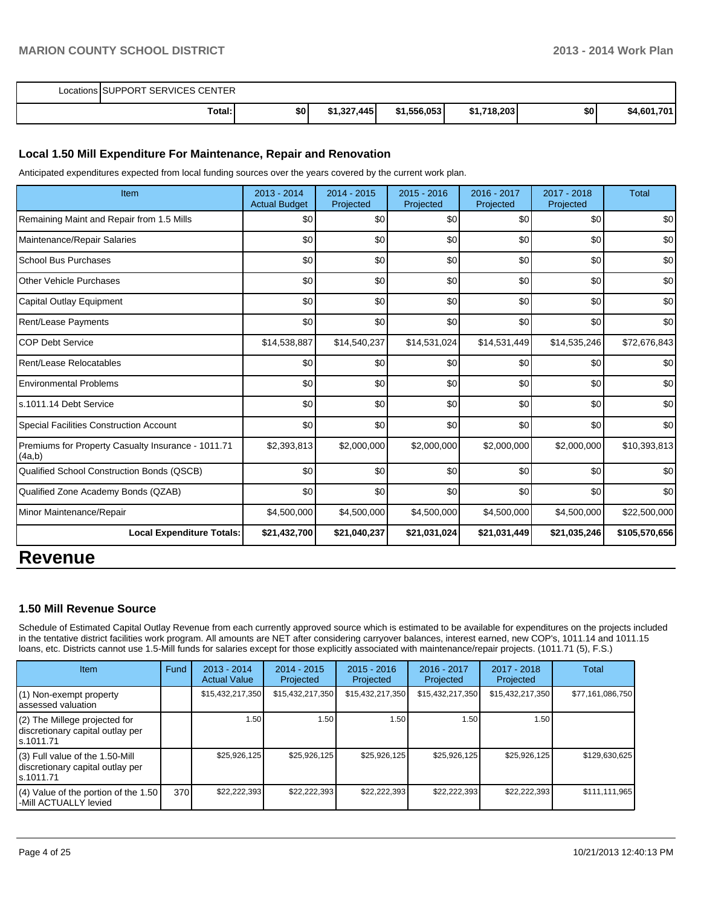| Locations SUPPORT SERVICES CENTER |                  |             |             |             |     |             |  |
|-----------------------------------|------------------|-------------|-------------|-------------|-----|-------------|--|
| Total:                            | \$0 <sub>1</sub> | \$1,327,445 | \$1,556,053 | \$1,718,203 | \$0 | \$4,601,701 |  |

#### **Local 1.50 Mill Expenditure For Maintenance, Repair and Renovation**

Anticipated expenditures expected from local funding sources over the years covered by the current work plan.

| Item                                                         | 2013 - 2014<br><b>Actual Budget</b> | 2014 - 2015<br>Projected | $2015 - 2016$<br>Projected | 2016 - 2017<br>Projected | 2017 - 2018<br>Projected | <b>Total</b>  |
|--------------------------------------------------------------|-------------------------------------|--------------------------|----------------------------|--------------------------|--------------------------|---------------|
| Remaining Maint and Repair from 1.5 Mills                    | \$0                                 | \$0                      | \$0                        | \$0                      | \$0                      | \$0           |
| Maintenance/Repair Salaries                                  | \$0                                 | \$0                      | \$0                        | \$0                      | \$0                      | \$0           |
| <b>School Bus Purchases</b>                                  | \$0                                 | \$0                      | \$0                        | \$0                      | \$0                      | \$0           |
| <b>Other Vehicle Purchases</b>                               | \$0                                 | \$0                      | \$0                        | \$0                      | \$0                      | \$0           |
| Capital Outlay Equipment                                     | \$0                                 | \$0                      | \$0                        | \$0                      | \$0                      | \$0           |
| Rent/Lease Payments                                          | \$0                                 | \$0                      | \$0                        | \$0                      | \$0                      | \$0           |
| <b>COP Debt Service</b>                                      | \$14,538,887                        | \$14,540,237             | \$14,531,024               | \$14,531,449             | \$14,535,246             | \$72,676,843  |
| Rent/Lease Relocatables                                      | \$0                                 | \$0                      | \$0                        | \$0                      | \$0                      | \$0           |
| <b>Environmental Problems</b>                                | \$0                                 | \$0                      | \$0                        | \$0                      | \$0                      | \$0           |
| s.1011.14 Debt Service                                       | \$0                                 | \$0                      | \$0                        | \$0                      | \$0                      | \$0           |
| <b>Special Facilities Construction Account</b>               | \$0                                 | \$0                      | \$0                        | \$0                      | \$0                      | \$0           |
| Premiums for Property Casualty Insurance - 1011.71<br>(4a,b) | \$2,393,813                         | \$2,000,000              | \$2,000,000                | \$2,000,000              | \$2,000,000              | \$10,393,813  |
| Qualified School Construction Bonds (QSCB)                   | \$0                                 | \$0                      | \$0                        | \$0                      | \$0                      | \$0           |
| Qualified Zone Academy Bonds (QZAB)                          | \$0                                 | \$0                      | \$0                        | \$0                      | \$0                      | \$0           |
| Minor Maintenance/Repair                                     | \$4,500,000                         | \$4,500,000              | \$4,500,000                | \$4,500,000              | \$4,500,000              | \$22,500,000  |
| <b>Local Expenditure Totals:</b>                             | \$21,432,700                        | \$21,040,237             | \$21,031,024               | \$21,031,449             | \$21,035,246             | \$105,570,656 |
| <b>DAVABU</b>                                                |                                     |                          |                            |                          |                          |               |

### **Revenue**

#### **1.50 Mill Revenue Source**

Schedule of Estimated Capital Outlay Revenue from each currently approved source which is estimated to be available for expenditures on the projects included in the tentative district facilities work program. All amounts are NET after considering carryover balances, interest earned, new COP's, 1011.14 and 1011.15 loans, etc. Districts cannot use 1.5-Mill funds for salaries except for those explicitly associated with maintenance/repair projects. (1011.71 (5), F.S.)

| Item                                                                                | Fund | $2013 - 2014$<br><b>Actual Value</b> | $2014 - 2015$<br>Projected | $2015 - 2016$<br>Projected | $2016 - 2017$<br>Projected | 2017 - 2018<br>Projected | <b>Total</b>     |
|-------------------------------------------------------------------------------------|------|--------------------------------------|----------------------------|----------------------------|----------------------------|--------------------------|------------------|
| (1) Non-exempt property<br>lassessed valuation                                      |      | \$15,432,217,350                     | \$15,432,217,350           | \$15,432,217,350           | \$15,432,217,350           | \$15,432,217,350         | \$77,161,086,750 |
| (2) The Millege projected for<br>discretionary capital outlay per<br>ls.1011.71     |      | 1.50 l                               | 1.50 <b>l</b>              | 1.50                       | 1.50                       | 1.50                     |                  |
| $(3)$ Full value of the 1.50-Mill<br>discretionary capital outlay per<br>ls.1011.71 |      | \$25,926,125                         | \$25,926,125               | \$25,926,125               | \$25,926,125               | \$25,926,125             | \$129,630,625    |
| $(4)$ Value of the portion of the 1.50<br>l-Mill ACTUALLY levied                    | 370  | \$22,222,393                         | \$22,222,393               | \$22,222,393               | \$22,222,393               | \$22,222,393             | \$111,111,965    |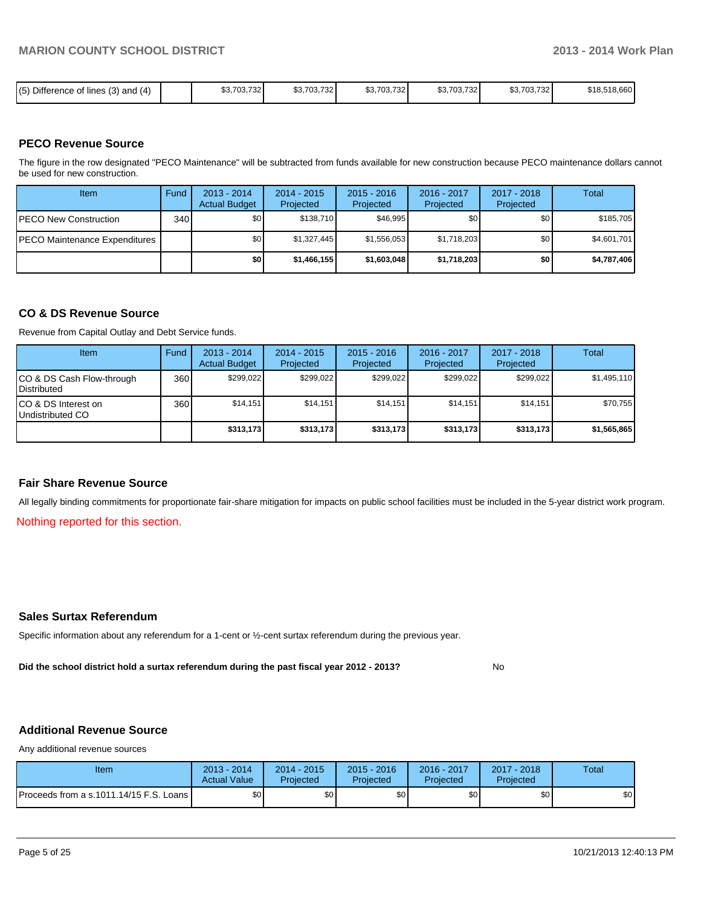| (5) Difference or<br>e of lines (3) and (4) |  | \$3,703,732 | \$3,703,732 | \$3,703,732 | 0.702721<br>\$3,703,732 | \$3,703,732 | \$18,518,660 |
|---------------------------------------------|--|-------------|-------------|-------------|-------------------------|-------------|--------------|
|---------------------------------------------|--|-------------|-------------|-------------|-------------------------|-------------|--------------|

#### **PECO Revenue Source**

The figure in the row designated "PECO Maintenance" will be subtracted from funds available for new construction because PECO maintenance dollars cannot be used for new construction.

| Item                                  | Fund | $2013 - 2014$<br><b>Actual Budget</b> | $2014 - 2015$<br>Projected | $2015 - 2016$<br>Projected | $2016 - 2017$<br>Projected | $2017 - 2018$<br>Projected | Total       |
|---------------------------------------|------|---------------------------------------|----------------------------|----------------------------|----------------------------|----------------------------|-------------|
| <b>PECO New Construction</b>          | 340  | \$0 I                                 | \$138.710                  | \$46.995                   | \$0                        | \$0                        | \$185,705   |
| <b>IPECO Maintenance Expenditures</b> |      | \$O I                                 | \$1.327.445                | \$1.556.053                | \$1,718,203                | \$0                        | \$4,601,701 |
|                                       |      | \$0 I                                 | \$1,466,155                | \$1,603,048                | \$1,718,203                | \$0                        | \$4,787,406 |

#### **CO & DS Revenue Source**

Revenue from Capital Outlay and Debt Service funds.

| Item                                               | Fund | $2013 - 2014$<br><b>Actual Budget</b> | $2014 - 2015$<br>Projected | $2015 - 2016$<br>Projected | $2016 - 2017$<br>Projected | $2017 - 2018$<br>Projected | Total       |
|----------------------------------------------------|------|---------------------------------------|----------------------------|----------------------------|----------------------------|----------------------------|-------------|
| ICO & DS Cash Flow-through<br><b>I</b> Distributed | 360  | \$299.022                             | \$299.022                  | \$299.022                  | \$299.022                  | \$299.022                  | \$1,495,110 |
| ICO & DS Interest on<br>Undistributed CO           | 360  | \$14.151                              | \$14,151                   | \$14.151                   | \$14.151                   | \$14,151                   | \$70,755    |
|                                                    |      | \$313,173                             | \$313,173                  | \$313.173                  | \$313,173                  | \$313,173                  | \$1,565,865 |

#### **Fair Share Revenue Source**

All legally binding commitments for proportionate fair-share mitigation for impacts on public school facilities must be included in the 5-year district work program.

Nothing reported for this section.

#### **Sales Surtax Referendum**

Specific information about any referendum for a 1-cent or ½-cent surtax referendum during the previous year.

**Did the school district hold a surtax referendum during the past fiscal year 2012 - 2013?**

No

#### **Additional Revenue Source**

Any additional revenue sources

| Item                                      | 2013 - 2014<br><b>Actual Value</b> | $2014 - 2015$<br>Projected | $2015 - 2016$<br>Projected | 2016 - 2017<br>Projected | $2017 - 2018$<br>Projected | Total |
|-------------------------------------------|------------------------------------|----------------------------|----------------------------|--------------------------|----------------------------|-------|
| Proceeds from a s.1011.14/15 F.S. Loans I | \$0 <sub>1</sub>                   | \$0                        | \$0                        | \$0                      | \$0                        | \$0   |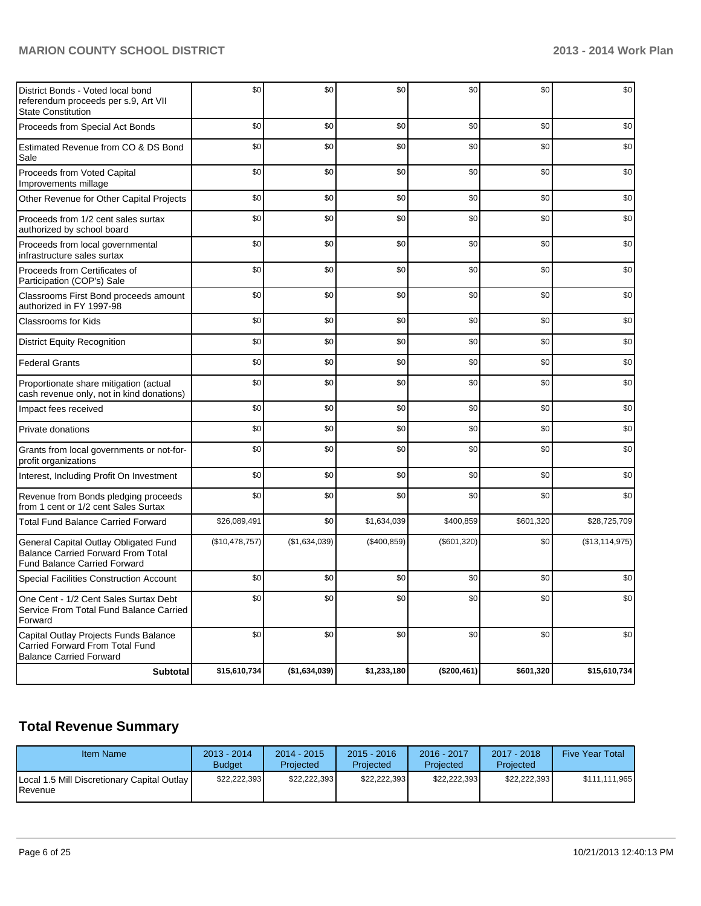| District Bonds - Voted local bond<br>referendum proceeds per s.9, Art VII<br><b>State Constitution</b>             | \$0            | \$0            | \$0          | \$0         | \$0       | \$0            |
|--------------------------------------------------------------------------------------------------------------------|----------------|----------------|--------------|-------------|-----------|----------------|
| Proceeds from Special Act Bonds                                                                                    | \$0            | \$0            | \$0          | \$0         | \$0       | \$0            |
| Estimated Revenue from CO & DS Bond<br>Sale                                                                        | \$0            | \$0            | \$0          | \$0         | \$0       | \$0            |
| Proceeds from Voted Capital<br>Improvements millage                                                                | \$0            | \$0            | \$0          | \$0         | \$0       | \$0            |
| Other Revenue for Other Capital Projects                                                                           | \$0            | \$0            | \$0          | \$0         | \$0       | \$0            |
| Proceeds from 1/2 cent sales surtax<br>authorized by school board                                                  | \$0            | \$0            | \$0          | \$0         | \$0       | \$0            |
| Proceeds from local governmental<br>infrastructure sales surtax                                                    | \$0            | \$0            | \$0          | \$0         | \$0       | \$0            |
| Proceeds from Certificates of<br>Participation (COP's) Sale                                                        | \$0            | \$0            | \$0          | \$0         | \$0       | \$0            |
| Classrooms First Bond proceeds amount<br>authorized in FY 1997-98                                                  | \$0            | \$0            | \$0          | \$0         | \$0       | \$0            |
| <b>Classrooms for Kids</b>                                                                                         | \$0            | \$0            | \$0          | \$0         | \$0       | \$0            |
| <b>District Equity Recognition</b>                                                                                 | \$0            | \$0            | \$0          | \$0         | \$0       | \$0            |
| <b>Federal Grants</b>                                                                                              | \$0            | \$0            | \$0          | \$0         | \$0       | \$0            |
| Proportionate share mitigation (actual<br>cash revenue only, not in kind donations)                                | \$0            | \$0            | \$0          | \$0         | \$0       | \$0            |
| Impact fees received                                                                                               | \$0            | \$0            | \$0          | \$0         | \$0       | \$0            |
| Private donations                                                                                                  | \$0            | \$0            | \$0          | \$0         | \$0       | \$0            |
| Grants from local governments or not-for-<br>profit organizations                                                  | \$0            | \$0            | \$0          | \$0         | \$0       | \$0            |
| Interest, Including Profit On Investment                                                                           | \$0            | \$0            | \$0          | \$0         | \$0       | \$0            |
| Revenue from Bonds pledging proceeds<br>from 1 cent or 1/2 cent Sales Surtax                                       | \$0            | \$0            | \$0          | \$0         | \$0       | \$0            |
| <b>Total Fund Balance Carried Forward</b>                                                                          | \$26,089,491   | \$0            | \$1,634,039  | \$400,859   | \$601,320 | \$28,725,709   |
| General Capital Outlay Obligated Fund<br><b>Balance Carried Forward From Total</b><br>Fund Balance Carried Forward | (\$10,478,757) | (\$1,634,039)  | (\$400, 859) | (\$601,320) | \$0       | (\$13,114,975) |
| <b>Special Facilities Construction Account</b>                                                                     | \$0            | \$0            | \$0          | \$0         | \$0       | \$0            |
| One Cent - 1/2 Cent Sales Surtax Debt<br>Service From Total Fund Balance Carried<br>Forward                        | \$0            | \$0            | \$0          | \$0         | \$0       | \$0            |
| Capital Outlay Projects Funds Balance<br>Carried Forward From Total Fund<br><b>Balance Carried Forward</b>         | \$0            | \$0            | \$0          | \$0         | \$0       | \$0            |
| <b>Subtotal</b>                                                                                                    | \$15,610,734   | ( \$1,634,039) | \$1,233,180  | (\$200,461) | \$601,320 | \$15,610,734   |

# **Total Revenue Summary**

| <b>Item Name</b>                                                | $2013 - 2014$<br><b>Budget</b> | $2014 - 2015$<br>Projected | $2015 - 2016$<br>Projected | 2016 - 2017<br>Projected | 2017 - 2018<br>Projected | <b>Five Year Total</b> |
|-----------------------------------------------------------------|--------------------------------|----------------------------|----------------------------|--------------------------|--------------------------|------------------------|
| Local 1.5 Mill Discretionary Capital Outlay<br><b>I</b> Revenue | \$22.222.393                   | \$22.222.393               | \$22.222.393               | \$22.222.393             | \$22.222.393             | \$111.111.965          |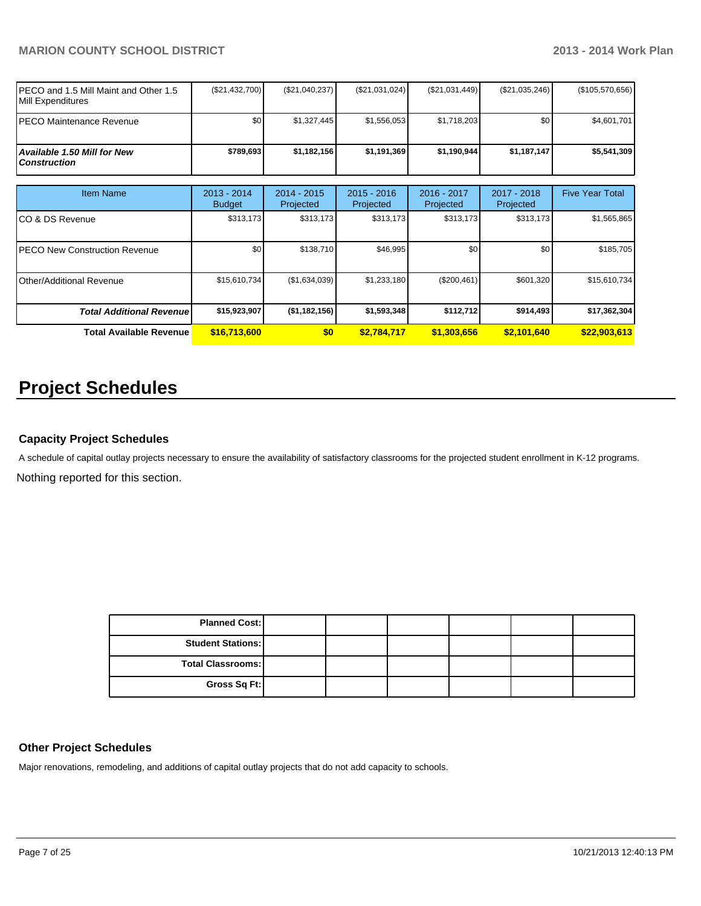| IPECO and 1.5 Mill Maint and Other 1.5<br><b>IMill Expenditures</b> | (\$21,432,700) | (\$21,040,237) | (\$21,031,024) | $(\$21,031,449)$ | (\$21,035,246)   | $(\$105,570,656)$ |
|---------------------------------------------------------------------|----------------|----------------|----------------|------------------|------------------|-------------------|
| <b>IPECO Maintenance Revenue</b>                                    | \$0            | \$1.327.445    | \$1.556.053    | \$1.718.203      | \$0 <sub>1</sub> | \$4,601,701       |
| Available 1.50 Mill for New l<br><i>Construction</i>                | \$789.693      | \$1,182,156    | \$1,191,369    | \$1.190.944      | \$1,187,147      | \$5,541,309       |

| <b>Item Name</b>                      | 2013 - 2014<br><b>Budget</b> | 2014 - 2015<br>Projected | $2015 - 2016$<br>Projected | $2016 - 2017$<br>Projected | 2017 - 2018<br>Projected | <b>Five Year Total</b> |
|---------------------------------------|------------------------------|--------------------------|----------------------------|----------------------------|--------------------------|------------------------|
| ICO & DS Revenue                      | \$313,173                    | \$313,173                | \$313,173                  | \$313,173                  | \$313,173                | \$1,565,865            |
| <b>IPECO New Construction Revenue</b> | \$0                          | \$138,710                | \$46,995                   | \$0                        | \$0                      | \$185,705              |
| <b>IOther/Additional Revenue</b>      | \$15,610,734                 | (\$1,634,039)            | \$1,233,180                | (\$200,461)                | \$601,320                | \$15,610,734           |
| <b>Total Additional Revenuel</b>      | \$15,923,907                 | (\$1,182,156)            | \$1,593,348                | \$112,712                  | \$914.493                | \$17,362,304           |
| Total Available Revenue               | \$16,713,600                 | \$0                      | \$2,784,717                | \$1,303,656                | \$2,101,640              | \$22,903,613           |

# **Project Schedules**

#### **Capacity Project Schedules**

Nothing reported for this section. A schedule of capital outlay projects necessary to ensure the availability of satisfactory classrooms for the projected student enrollment in K-12 programs.

| <b>Planned Cost:</b>     |  |  |  |
|--------------------------|--|--|--|
| <b>Student Stations:</b> |  |  |  |
| <b>Total Classrooms:</b> |  |  |  |
| Gross Sq Ft:             |  |  |  |

#### **Other Project Schedules**

Major renovations, remodeling, and additions of capital outlay projects that do not add capacity to schools.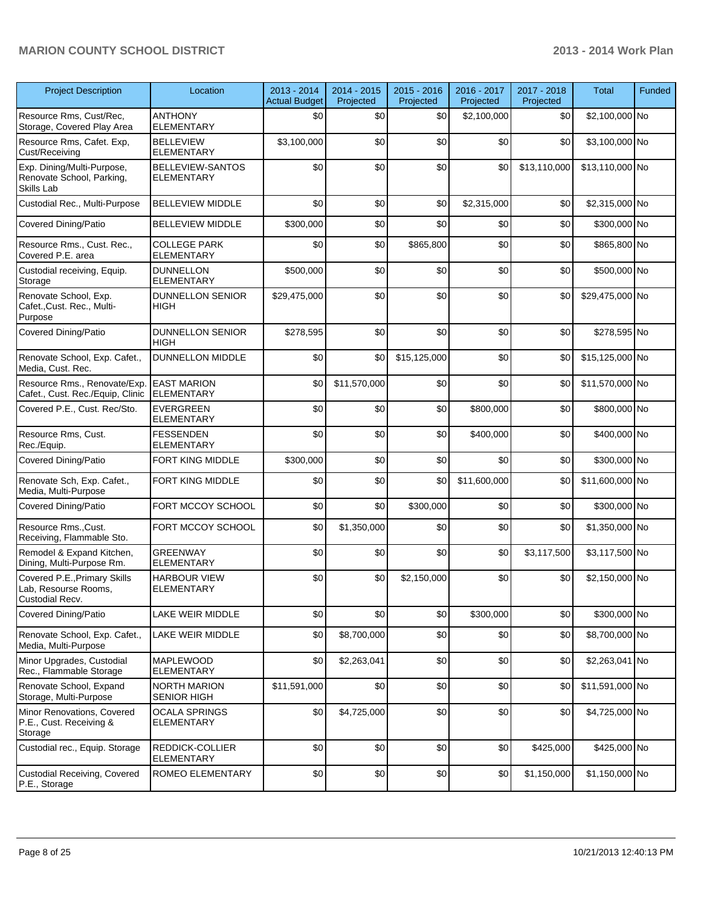| <b>Project Description</b>                                              | Location                                     | 2013 - 2014<br><b>Actual Budget</b> | 2014 - 2015<br>Projected | 2015 - 2016<br>Projected | 2016 - 2017<br>Projected | 2017 - 2018<br>Projected | <b>Total</b>    | Funded |
|-------------------------------------------------------------------------|----------------------------------------------|-------------------------------------|--------------------------|--------------------------|--------------------------|--------------------------|-----------------|--------|
| Resource Rms, Cust/Rec,<br>Storage, Covered Play Area                   | <b>ANTHONY</b><br><b>ELEMENTARY</b>          | \$0                                 | \$0                      | \$0                      | \$2,100,000              | \$0                      | \$2,100,000 No  |        |
| Resource Rms, Cafet. Exp,<br>Cust/Receiving                             | <b>BELLEVIEW</b><br><b>ELEMENTARY</b>        | \$3,100,000                         | \$0                      | \$0                      | \$0                      | \$0                      | \$3,100,000 No  |        |
| Exp. Dining/Multi-Purpose,<br>Renovate School, Parking,<br>Skills Lab   | <b>BELLEVIEW-SANTOS</b><br><b>ELEMENTARY</b> | \$0                                 | \$0                      | \$0                      | \$0                      | \$13,110,000             | \$13,110,000 No |        |
| Custodial Rec., Multi-Purpose                                           | <b>BELLEVIEW MIDDLE</b>                      | \$0                                 | \$0                      | \$0                      | \$2,315,000              | \$0                      | \$2,315,000 No  |        |
| Covered Dining/Patio                                                    | <b>BELLEVIEW MIDDLE</b>                      | \$300,000                           | \$0                      | \$0                      | \$0                      | \$0                      | \$300,000 No    |        |
| Resource Rms., Cust. Rec.,<br>Covered P.E. area                         | <b>COLLEGE PARK</b><br><b>ELEMENTARY</b>     | \$0                                 | \$0                      | \$865,800                | \$0                      | \$0                      | \$865,800 No    |        |
| Custodial receiving, Equip.<br>Storage                                  | <b>DUNNELLON</b><br><b>ELEMENTARY</b>        | \$500,000                           | \$0                      | \$0                      | \$0                      | \$0                      | \$500,000 No    |        |
| Renovate School, Exp.<br>Cafet., Cust. Rec., Multi-<br>Purpose          | <b>DUNNELLON SENIOR</b><br><b>HIGH</b>       | \$29,475,000                        | \$0                      | \$0                      | \$0                      | \$0                      | \$29,475,000 No |        |
| <b>Covered Dining/Patio</b>                                             | DUNNELLON SENIOR<br>HIGH                     | \$278,595                           | \$0                      | \$0                      | \$0                      | \$0                      | \$278,595 No    |        |
| Renovate School, Exp. Cafet.,<br>Media, Cust. Rec.                      | <b>DUNNELLON MIDDLE</b>                      | \$0                                 | \$0                      | \$15,125,000             | \$0                      | \$0                      | \$15,125,000 No |        |
| Resource Rms., Renovate/Exp.<br>Cafet., Cust. Rec./Equip, Clinic        | <b>EAST MARION</b><br><b>ELEMENTARY</b>      | \$0                                 | \$11,570,000             | \$0                      | \$0                      | \$0                      | \$11,570,000 No |        |
| Covered P.E., Cust. Rec/Sto.                                            | <b>EVERGREEN</b><br><b>ELEMENTARY</b>        | \$0                                 | \$0                      | \$0                      | \$800,000                | \$0                      | \$800,000 No    |        |
| Resource Rms, Cust.<br>Rec./Equip.                                      | <b>FESSENDEN</b><br>ELEMENTARY               | \$0                                 | \$0                      | \$0                      | \$400,000                | \$0                      | \$400,000 No    |        |
| <b>Covered Dining/Patio</b>                                             | FORT KING MIDDLE                             | \$300,000                           | \$0                      | \$0                      | \$0                      | \$0                      | \$300,000 No    |        |
| Renovate Sch, Exp. Cafet.,<br>Media, Multi-Purpose                      | FORT KING MIDDLE                             | \$0                                 | \$0                      | \$0                      | \$11,600,000             | \$0                      | \$11,600,000 No |        |
| <b>Covered Dining/Patio</b>                                             | FORT MCCOY SCHOOL                            | \$0                                 | \$0                      | \$300,000                | \$0                      | \$0                      | \$300,000 No    |        |
| Resource Rms., Cust.<br>Receiving, Flammable Sto.                       | FORT MCCOY SCHOOL                            | \$0                                 | \$1,350,000              | \$0                      | \$0                      | \$0                      | \$1,350,000 No  |        |
| Remodel & Expand Kitchen,<br>Dining, Multi-Purpose Rm.                  | <b>GREENWAY</b><br><b>ELEMENTARY</b>         | \$0                                 | \$0                      | \$0                      | \$0                      | \$3,117,500              | \$3,117,500 No  |        |
| Covered P.E., Primary Skills<br>Lab, Resourse Rooms,<br>Custodial Recv. | <b>HARBOUR VIEW</b><br><b>ELEMENTARY</b>     | \$0                                 | \$0                      | \$2,150,000              | \$0                      | \$0                      | \$2,150,000 No  |        |
| Covered Dining/Patio                                                    | LAKE WEIR MIDDLE                             | \$0                                 | \$0                      | \$0                      | \$300,000                | \$0                      | \$300,000 No    |        |
| Renovate School, Exp. Cafet.,<br>Media, Multi-Purpose                   | LAKE WEIR MIDDLE                             | \$0                                 | \$8,700,000              | \$0                      | \$0                      | \$0                      | \$8,700,000 No  |        |
| Minor Upgrades, Custodial<br>Rec., Flammable Storage                    | <b>MAPLEWOOD</b><br><b>ELEMENTARY</b>        | \$0                                 | \$2,263,041              | \$0                      | \$0                      | \$0                      | \$2,263,041 No  |        |
| Renovate School, Expand<br>Storage, Multi-Purpose                       | <b>NORTH MARION</b><br><b>SENIOR HIGH</b>    | \$11,591,000                        | \$0                      | \$0                      | \$0                      | \$0                      | \$11,591,000 No |        |
| Minor Renovations, Covered<br>P.E., Cust. Receiving &<br>Storage        | <b>OCALA SPRINGS</b><br><b>ELEMENTARY</b>    | \$0                                 | \$4,725,000              | \$0                      | \$0                      | \$0                      | \$4,725,000 No  |        |
| Custodial rec., Equip. Storage                                          | REDDICK-COLLIER<br><b>ELEMENTARY</b>         | \$0                                 | \$0                      | \$0                      | \$0                      | \$425,000                | \$425,000 No    |        |
| Custodial Receiving, Covered<br>P.E., Storage                           | <b>ROMEO ELEMENTARY</b>                      | \$0                                 | \$0                      | \$0                      | \$0                      | \$1,150,000              | \$1,150,000 No  |        |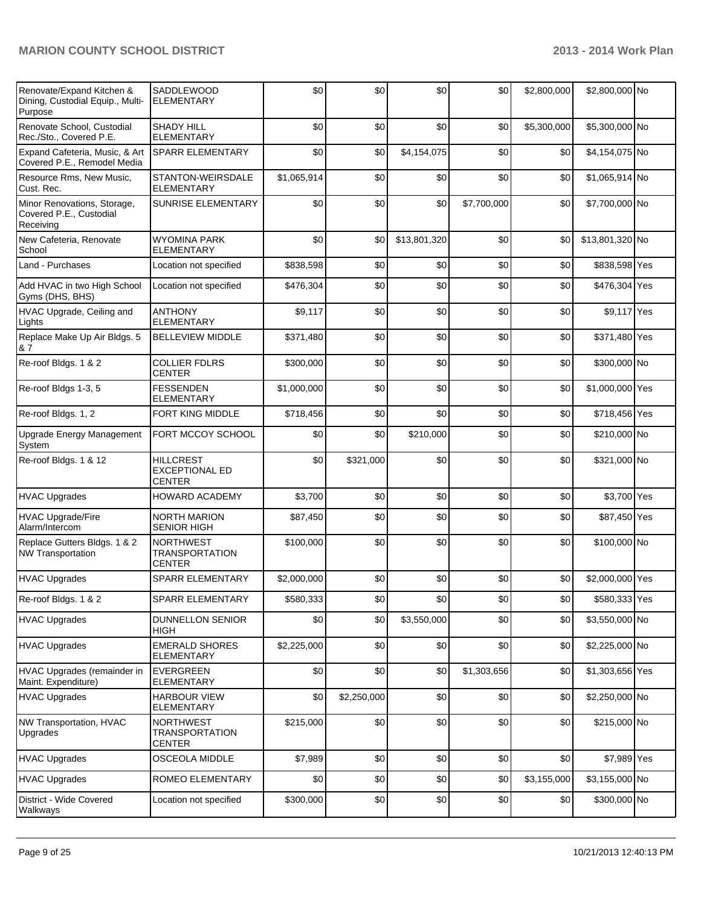| Renovate/Expand Kitchen &<br>Dining, Custodial Equip., Multi-<br>Purpose | <b>SADDLEWOOD</b><br><b>ELEMENTARY</b>                     | \$0         | \$0         | \$0          | \$0         | \$2,800,000 | \$2,800,000 No  |  |
|--------------------------------------------------------------------------|------------------------------------------------------------|-------------|-------------|--------------|-------------|-------------|-----------------|--|
| Renovate School, Custodial<br>Rec./Sto., Covered P.E.                    | <b>SHADY HILL</b><br><b>ELEMENTARY</b>                     | \$0         | \$0         | \$0          | \$0         | \$5,300,000 | \$5,300,000 No  |  |
| Expand Cafeteria, Music, & Art<br>Covered P.E., Remodel Media            | <b>SPARR ELEMENTARY</b>                                    | \$0         | \$0         | \$4,154,075  | \$0         | \$0         | \$4,154,075 No  |  |
| Resource Rms, New Music,<br>Cust. Rec.                                   | STANTON-WEIRSDALE<br><b>ELEMENTARY</b>                     | \$1,065,914 | \$0         | \$0          | \$0         | \$0         | \$1,065,914 No  |  |
| Minor Renovations, Storage,<br>Covered P.E., Custodial<br>Receiving      | <b>SUNRISE ELEMENTARY</b>                                  | \$0         | \$0         | \$0          | \$7,700,000 | \$0         | \$7,700,000 No  |  |
| New Cafeteria, Renovate<br>School                                        | <b>WYOMINA PARK</b><br><b>ELEMENTARY</b>                   | \$0         | \$0         | \$13,801,320 | \$0         | \$0         | \$13,801,320 No |  |
| Land - Purchases                                                         | Location not specified                                     | \$838,598   | \$0         | \$0          | \$0         | \$0         | \$838,598 Yes   |  |
| Add HVAC in two High School<br>Gyms (DHS, BHS)                           | Location not specified                                     | \$476,304   | \$0         | \$0          | \$0         | \$0         | \$476,304 Yes   |  |
| HVAC Upgrade, Ceiling and<br>Lights                                      | <b>ANTHONY</b><br><b>ELEMENTARY</b>                        | \$9,117     | \$0         | \$0          | \$0         | \$0         | \$9,117 Yes     |  |
| Replace Make Up Air Bldgs. 5<br>& 7                                      | <b>BELLEVIEW MIDDLE</b>                                    | \$371,480   | \$0         | \$0          | \$0         | \$0         | \$371,480 Yes   |  |
| Re-roof Bldgs. 1 & 2                                                     | <b>COLLIER FDLRS</b><br><b>CENTER</b>                      | \$300,000   | \$0         | \$0          | \$0         | \$0         | \$300,000 No    |  |
| Re-roof Bldgs 1-3, 5                                                     | <b>FESSENDEN</b><br><b>ELEMENTARY</b>                      | \$1,000,000 | \$0         | \$0          | \$0         | \$0         | \$1,000,000 Yes |  |
| Re-roof Bldgs. 1, 2                                                      | FORT KING MIDDLE                                           | \$718,456   | \$0         | \$0          | \$0         | \$0         | \$718,456 Yes   |  |
| Upgrade Energy Management<br>System                                      | FORT MCCOY SCHOOL                                          | \$0         | \$0         | \$210,000    | \$0         | \$0         | \$210,000 No    |  |
| Re-roof Bldgs. 1 & 12                                                    | <b>HILLCREST</b><br><b>EXCEPTIONAL ED</b><br><b>CENTER</b> | \$0         | \$321,000   | \$0          | \$0         | \$0         | \$321,000 No    |  |
| <b>HVAC Upgrades</b>                                                     | <b>HOWARD ACADEMY</b>                                      | \$3,700     | \$0         | \$0          | \$0         | \$0         | \$3,700 Yes     |  |
| <b>HVAC Upgrade/Fire</b><br>Alarm/Intercom                               | <b>NORTH MARION</b><br><b>SENIOR HIGH</b>                  | \$87,450    | \$0         | \$0          | \$0         | \$0         | \$87,450 Yes    |  |
| Replace Gutters Bldgs. 1 & 2<br><b>NW Transportation</b>                 | <b>NORTHWEST</b><br><b>TRANSPORTATION</b><br><b>CENTER</b> | \$100,000   | \$0         | \$0          | \$0         | \$0         | \$100,000 No    |  |
| <b>HVAC Upgrades</b>                                                     | <b>SPARR ELEMENTARY</b>                                    | \$2,000,000 | \$0         | \$0          | \$0         | \$0         | \$2,000,000 Yes |  |
| Re-roof Bldgs. 1 & 2                                                     | SPARR ELEMENTARY                                           | \$580,333   | \$0         | \$0          | \$0         | \$0         | \$580,333 Yes   |  |
| <b>HVAC Upgrades</b>                                                     | DUNNELLON SENIOR<br><b>HIGH</b>                            | \$0         | \$0         | \$3,550,000  | \$0         | \$0         | \$3,550,000 No  |  |
| <b>HVAC Upgrades</b>                                                     | <b>EMERALD SHORES</b><br><b>ELEMENTARY</b>                 | \$2,225,000 | \$0         | \$0          | \$0         | \$0         | \$2,225,000 No  |  |
| HVAC Upgrades (remainder in<br>Maint. Expenditure)                       | <b>EVERGREEN</b><br><b>ELEMENTARY</b>                      | \$0         | \$0         | \$0          | \$1,303,656 | \$0         | \$1,303,656 Yes |  |
| <b>HVAC Upgrades</b>                                                     | <b>HARBOUR VIEW</b><br><b>ELEMENTARY</b>                   | \$0         | \$2,250,000 | \$0          | \$0         | \$0         | \$2,250,000 No  |  |
| NW Transportation, HVAC<br>Upgrades                                      | <b>NORTHWEST</b><br><b>TRANSPORTATION</b><br><b>CENTER</b> | \$215,000   | \$0         | \$0          | \$0         | \$0         | \$215,000 No    |  |
| <b>HVAC Upgrades</b>                                                     | OSCEOLA MIDDLE                                             | \$7,989     | \$0         | \$0          | \$0         | \$0         | \$7,989 Yes     |  |
| <b>HVAC Upgrades</b>                                                     | ROMEO ELEMENTARY                                           | \$0         | \$0         | \$0          | \$0         | \$3,155,000 | \$3,155,000 No  |  |
| District - Wide Covered<br>Walkways                                      | Location not specified                                     | \$300,000   | \$0         | \$0          | \$0         | \$0         | \$300,000 No    |  |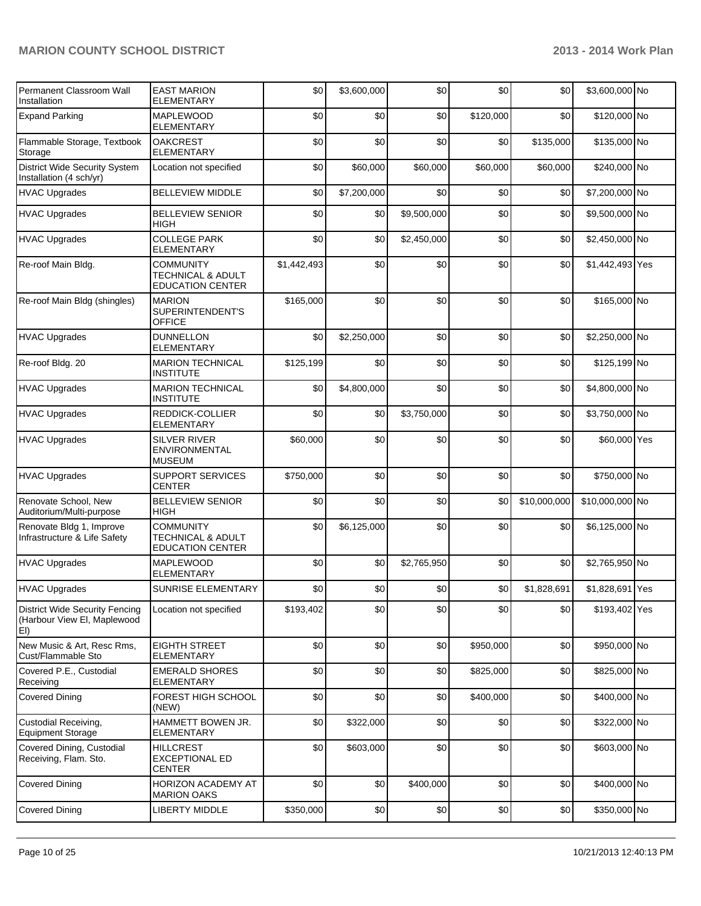| <b>Permanent Classroom Wall</b><br>Installation                             | <b>EAST MARION</b><br><b>ELEMENTARY</b>                                     | \$0         | \$3,600,000 | \$0         | \$0       | \$0          | \$3,600,000 No  |  |
|-----------------------------------------------------------------------------|-----------------------------------------------------------------------------|-------------|-------------|-------------|-----------|--------------|-----------------|--|
| <b>Expand Parking</b>                                                       | <b>MAPLEWOOD</b><br><b>ELEMENTARY</b>                                       | \$0         | \$0         | \$0         | \$120,000 | \$0          | \$120,000 No    |  |
| Flammable Storage, Textbook<br>Storage                                      | <b>OAKCREST</b><br><b>ELEMENTARY</b>                                        | \$0         | \$0         | \$0         | \$0       | \$135,000    | \$135,000 No    |  |
| <b>District Wide Security System</b><br>Installation (4 sch/yr)             | Location not specified                                                      | \$0         | \$60,000    | \$60,000    | \$60,000  | \$60,000     | \$240,000 No    |  |
| <b>HVAC Upgrades</b>                                                        | <b>BELLEVIEW MIDDLE</b>                                                     | \$0         | \$7,200,000 | \$0         | \$0       | \$0          | \$7,200,000 No  |  |
| <b>HVAC Upgrades</b>                                                        | <b>BELLEVIEW SENIOR</b><br>HIGH                                             | \$0         | \$0         | \$9,500,000 | \$0       | \$0          | \$9,500,000 No  |  |
| <b>HVAC Upgrades</b>                                                        | <b>COLLEGE PARK</b><br><b>ELEMENTARY</b>                                    | \$0         | \$0         | \$2,450,000 | \$0       | \$0          | \$2,450,000 No  |  |
| Re-roof Main Bldg.                                                          | <b>COMMUNITY</b><br><b>TECHNICAL &amp; ADULT</b><br><b>EDUCATION CENTER</b> | \$1,442,493 | \$0         | \$0         | \$0       | \$0          | \$1,442,493 Yes |  |
| Re-roof Main Bldg (shingles)                                                | <b>MARION</b><br>SUPERINTENDENT'S<br><b>OFFICE</b>                          | \$165,000   | \$0         | \$0         | \$0       | \$0          | \$165,000 No    |  |
| <b>HVAC Upgrades</b>                                                        | <b>DUNNELLON</b><br><b>ELEMENTARY</b>                                       | \$0         | \$2,250,000 | \$0         | \$0       | \$0          | \$2,250,000 No  |  |
| Re-roof Bldg. 20                                                            | <b>MARION TECHNICAL</b><br><b>INSTITUTE</b>                                 | \$125,199   | \$0         | \$0         | \$0       | \$0          | \$125,199 No    |  |
| <b>HVAC Upgrades</b>                                                        | <b>MARION TECHNICAL</b><br><b>INSTITUTE</b>                                 | \$0         | \$4,800,000 | \$0         | \$0       | \$0          | \$4,800,000 No  |  |
| <b>HVAC Upgrades</b>                                                        | REDDICK-COLLIER<br><b>ELEMENTARY</b>                                        | \$0         | \$0         | \$3,750,000 | \$0       | \$0          | \$3,750,000 No  |  |
| <b>HVAC Upgrades</b>                                                        | <b>SILVER RIVER</b><br><b>ENVIRONMENTAL</b><br><b>MUSEUM</b>                | \$60,000    | \$0         | \$0         | \$0       | \$0          | \$60,000 Yes    |  |
| <b>HVAC Upgrades</b>                                                        | <b>SUPPORT SERVICES</b><br><b>CENTER</b>                                    | \$750,000   | \$0         | \$0         | \$0       | \$0          | \$750,000 No    |  |
| Renovate School, New<br>Auditorium/Multi-purpose                            | <b>BELLEVIEW SENIOR</b><br><b>HIGH</b>                                      | \$0         | \$0         | \$0         | \$0       | \$10,000,000 | \$10,000,000 No |  |
| Renovate Bldg 1, Improve<br>Infrastructure & Life Safety                    | <b>COMMUNITY</b><br><b>TECHNICAL &amp; ADULT</b><br><b>EDUCATION CENTER</b> | \$0         | \$6,125,000 | \$0         | \$0       | \$0          | \$6,125,000 No  |  |
| <b>HVAC Upgrades</b>                                                        | MAPLEWOOD<br><b>ELEMENTARY</b>                                              | \$0         | \$0         | \$2,765,950 | \$0       | \$0          | \$2,765,950 No  |  |
| HVAC Upgrades                                                               | SUNRISE ELEMENTARY                                                          | \$0         | \$0         | \$0         | \$0       | \$1,828,691  | \$1,828,691 Yes |  |
| <b>District Wide Security Fencing</b><br>(Harbour View El, Maplewood<br>EI) | Location not specified                                                      | \$193,402   | \$0         | \$0         | \$0       | \$0          | \$193,402 Yes   |  |
| New Music & Art, Resc Rms,<br>Cust/Flammable Sto                            | <b>EIGHTH STREET</b><br><b>ELEMENTARY</b>                                   | \$0         | \$0         | \$0         | \$950,000 | \$0          | \$950,000 No    |  |
| Covered P.E., Custodial<br>Receiving                                        | <b>EMERALD SHORES</b><br>ELEMENTARY                                         | \$0         | \$0         | \$0         | \$825,000 | \$0          | \$825,000 No    |  |
| <b>Covered Dining</b>                                                       | <b>FOREST HIGH SCHOOL</b><br>(NEW)                                          | \$0         | \$0         | \$0         | \$400,000 | \$0          | \$400,000 No    |  |
| Custodial Receiving,<br><b>Equipment Storage</b>                            | HAMMETT BOWEN JR.<br>ELEMENTARY                                             | \$0         | \$322,000   | \$0         | \$0       | \$0          | \$322,000 No    |  |
| Covered Dining, Custodial<br>Receiving, Flam. Sto.                          | <b>HILLCREST</b><br><b>EXCEPTIONAL ED</b><br><b>CENTER</b>                  | \$0         | \$603,000   | \$0         | \$0       | \$0          | \$603,000 No    |  |
| <b>Covered Dining</b>                                                       | HORIZON ACADEMY AT<br><b>MARION OAKS</b>                                    | \$0         | \$0         | \$400,000   | \$0       | \$0          | \$400,000 No    |  |
| <b>Covered Dining</b>                                                       | <b>LIBERTY MIDDLE</b>                                                       | \$350,000   | \$0         | \$0         | \$0       | \$0          | \$350,000 No    |  |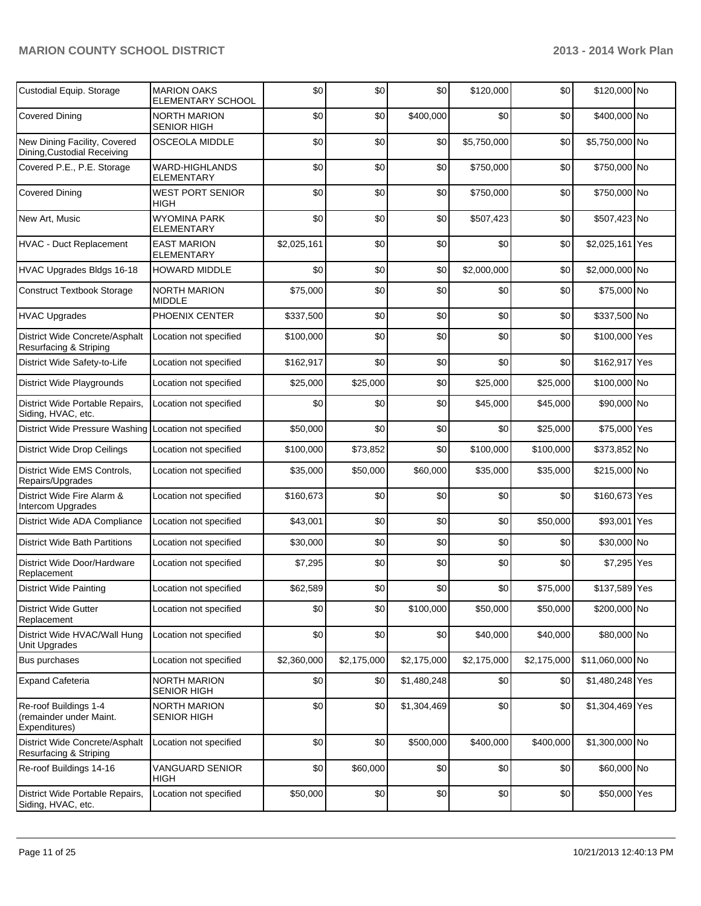| Custodial Equip. Storage                                          | <b>MARION OAKS</b><br>ELEMENTARY SCHOOL   | \$0         | \$0         | \$0         | \$120,000   | \$0         | \$120,000 No    |  |
|-------------------------------------------------------------------|-------------------------------------------|-------------|-------------|-------------|-------------|-------------|-----------------|--|
| <b>Covered Dining</b>                                             | <b>NORTH MARION</b><br><b>SENIOR HIGH</b> | \$0         | \$0         | \$400,000   | \$0         | \$0         | \$400,000 No    |  |
| New Dining Facility, Covered<br>Dining, Custodial Receiving       | <b>OSCEOLA MIDDLE</b>                     | \$0         | \$0         | \$0         | \$5,750,000 | \$0         | \$5,750,000 No  |  |
| Covered P.E., P.E. Storage                                        | WARD-HIGHLANDS<br><b>ELEMENTARY</b>       | \$0         | \$0         | \$0         | \$750,000   | \$0         | \$750,000 No    |  |
| <b>Covered Dining</b>                                             | <b>WEST PORT SENIOR</b><br>HIGH           | \$0         | \$0         | \$0         | \$750,000   | \$0         | \$750,000 No    |  |
| New Art, Music                                                    | <b>WYOMINA PARK</b><br>ELEMENTARY         | \$0         | \$0         | \$0         | \$507,423   | \$0         | \$507,423 No    |  |
| HVAC - Duct Replacement                                           | <b>EAST MARION</b><br><b>ELEMENTARY</b>   | \$2,025,161 | \$0         | \$0         | \$0         | \$0         | \$2,025,161 Yes |  |
| HVAC Upgrades Bldgs 16-18                                         | <b>HOWARD MIDDLE</b>                      | \$0         | \$0         | \$0         | \$2,000,000 | \$0         | \$2,000,000 No  |  |
| <b>Construct Textbook Storage</b>                                 | <b>NORTH MARION</b><br><b>MIDDLE</b>      | \$75,000    | \$0         | \$0         | \$0         | \$0         | \$75,000 No     |  |
| <b>HVAC Upgrades</b>                                              | PHOENIX CENTER                            | \$337,500   | \$0         | \$0         | \$0         | \$0         | \$337,500 No    |  |
| District Wide Concrete/Asphalt<br>Resurfacing & Striping          | Location not specified                    | \$100,000   | \$0         | \$0         | \$0         | \$0         | \$100,000 Yes   |  |
| District Wide Safety-to-Life                                      | Location not specified                    | \$162,917   | \$0         | \$0         | \$0         | \$0         | \$162,917 Yes   |  |
| District Wide Playgrounds                                         | Location not specified                    | \$25,000    | \$25,000    | \$0         | \$25,000    | \$25,000    | \$100,000 No    |  |
| District Wide Portable Repairs,<br>Siding, HVAC, etc.             | Location not specified                    | \$0         | \$0         | \$0         | \$45,000    | \$45,000    | \$90,000 No     |  |
| District Wide Pressure Washing Location not specified             |                                           | \$50,000    | \$0         | \$0         | \$0         | \$25,000    | \$75,000 Yes    |  |
| <b>District Wide Drop Ceilings</b>                                | Location not specified                    | \$100,000   | \$73,852    | \$0         | \$100,000   | \$100,000   | \$373,852 No    |  |
| District Wide EMS Controls,<br>Repairs/Upgrades                   | Location not specified                    | \$35,000    | \$50,000    | \$60,000    | \$35,000    | \$35,000    | \$215,000 No    |  |
| District Wide Fire Alarm &<br>Intercom Upgrades                   | Location not specified                    | \$160,673   | \$0         | \$0         | \$0         | \$0         | \$160,673 Yes   |  |
| District Wide ADA Compliance                                      | Location not specified                    | \$43,001    | \$0         | \$0         | \$0         | \$50,000    | \$93,001 Yes    |  |
| <b>District Wide Bath Partitions</b>                              | Location not specified                    | \$30,000    | \$0         | \$0         | \$0         | \$0         | \$30,000 No     |  |
| District Wide Door/Hardware<br>Replacement                        | Location not specified                    | \$7,295     | \$0         | \$0         | \$0         | \$0         | \$7,295 Yes     |  |
| District Wide Painting                                            | Location not specified                    | \$62,589    | \$0         | \$0         | \$0         | \$75,000    | \$137,589 Yes   |  |
| <b>District Wide Gutter</b><br>Replacement                        | Location not specified                    | \$0         | \$0         | \$100,000   | \$50,000    | \$50,000    | \$200,000 No    |  |
| District Wide HVAC/Wall Hung<br>Unit Upgrades                     | Location not specified                    | \$0         | \$0         | \$0         | \$40,000    | \$40,000    | \$80,000 No     |  |
| Bus purchases                                                     | Location not specified                    | \$2,360,000 | \$2,175,000 | \$2,175,000 | \$2,175,000 | \$2,175,000 | \$11,060,000 No |  |
| <b>Expand Cafeteria</b>                                           | <b>NORTH MARION</b><br><b>SENIOR HIGH</b> | \$0         | \$0         | \$1,480,248 | \$0         | \$0         | \$1,480,248 Yes |  |
| Re-roof Buildings 1-4<br>(remainder under Maint.<br>Expenditures) | <b>NORTH MARION</b><br><b>SENIOR HIGH</b> | \$0         | \$0         | \$1,304,469 | \$0         | \$0         | \$1,304,469 Yes |  |
| District Wide Concrete/Asphalt<br>Resurfacing & Striping          | Location not specified                    | \$0         | \$0         | \$500,000   | \$400,000   | \$400,000   | \$1,300,000 No  |  |
| Re-roof Buildings 14-16                                           | VANGUARD SENIOR<br>HIGH                   | \$0         | \$60,000    | \$0         | \$0         | \$0         | \$60,000 No     |  |
| District Wide Portable Repairs,<br>Siding, HVAC, etc.             | Location not specified                    | \$50,000    | \$0         | \$0         | \$0         | \$0         | \$50,000 Yes    |  |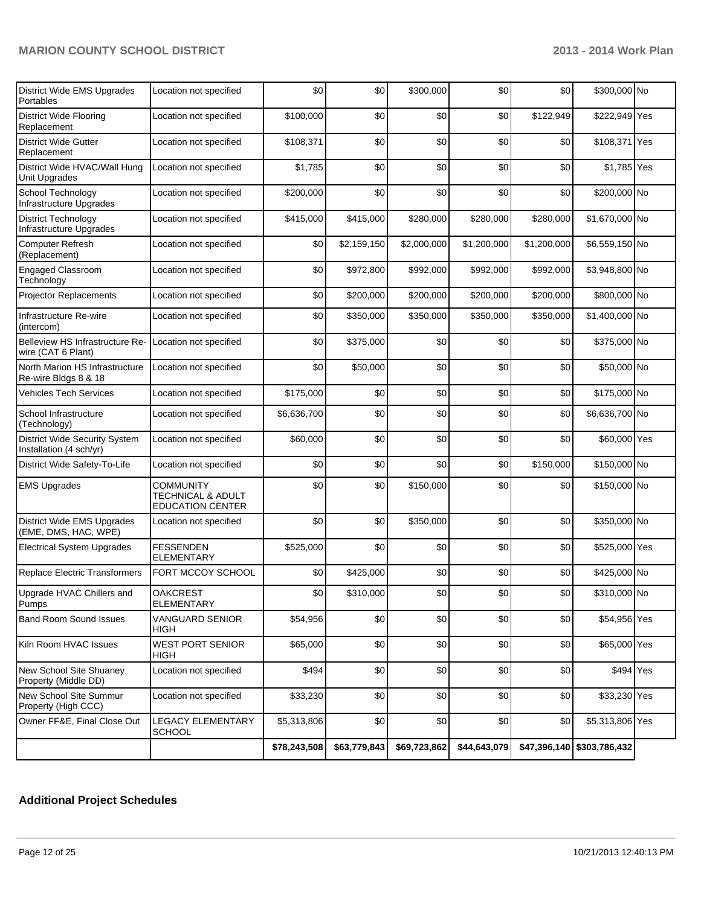| District Wide EMS Upgrades<br>Portables                         | Location not specified                                                      | \$0          | \$0          | \$300,000    | \$0          | \$0          | \$300,000 No    |  |
|-----------------------------------------------------------------|-----------------------------------------------------------------------------|--------------|--------------|--------------|--------------|--------------|-----------------|--|
| <b>District Wide Flooring</b><br>Replacement                    | Location not specified                                                      | \$100,000    | \$0          | \$0          | \$0          | \$122,949    | \$222,949 Yes   |  |
| <b>District Wide Gutter</b><br>Replacement                      | Location not specified                                                      | \$108,371    | \$0          | \$0          | \$0          | \$0          | \$108,371 Yes   |  |
| District Wide HVAC/Wall Hung<br>Unit Upgrades                   | Location not specified                                                      | \$1,785      | \$0          | \$0          | \$0          | \$0          | \$1,785 Yes     |  |
| School Technology<br>Infrastructure Upgrades                    | Location not specified                                                      | \$200,000    | \$0          | \$0          | \$0          | \$0          | \$200,000 No    |  |
| <b>District Technology</b><br>Infrastructure Upgrades           | Location not specified                                                      | \$415,000    | \$415,000    | \$280,000    | \$280,000    | \$280,000    | \$1,670,000 No  |  |
| <b>Computer Refresh</b><br>(Replacement)                        | Location not specified                                                      | \$0          | \$2,159,150  | \$2,000,000  | \$1,200,000  | \$1,200,000  | \$6,559,150 No  |  |
| <b>Engaged Classroom</b><br>Technology                          | Location not specified                                                      | \$0          | \$972,800    | \$992,000    | \$992,000    | \$992,000    | \$3,948,800 No  |  |
| Projector Replacements                                          | Location not specified                                                      | \$0          | \$200,000    | \$200,000    | \$200,000    | \$200,000    | \$800,000 No    |  |
| Infrastructure Re-wire<br>(intercom)                            | Location not specified                                                      | \$0          | \$350,000    | \$350,000    | \$350,000    | \$350,000    | \$1,400,000 No  |  |
| Belleview HS Infrastructure Re-<br>wire (CAT 6 Plant)           | Location not specified                                                      | \$0          | \$375,000    | \$0          | \$0          | \$0          | \$375,000 No    |  |
| North Marion HS Infrastructure<br>Re-wire Bldgs 8 & 18          | Location not specified                                                      | \$0          | \$50,000     | \$0          | \$0          | \$0          | \$50,000 No     |  |
| Vehicles Tech Services                                          | Location not specified                                                      | \$175,000    | \$0          | \$0          | \$0          | \$0          | \$175,000 No    |  |
| School Infrastructure<br>(Technology)                           | Location not specified                                                      | \$6,636,700  | \$0          | \$0          | \$0          | \$0          | \$6,636,700 No  |  |
| <b>District Wide Security System</b><br>Installation (4 sch/yr) | Location not specified                                                      | \$60,000     | \$0          | \$0          | \$0          | \$0          | \$60,000 Yes    |  |
| District Wide Safety-To-Life                                    | Location not specified                                                      | \$0          | \$0          | \$0          | \$0          | \$150,000    | \$150,000 No    |  |
| <b>EMS Upgrades</b>                                             | <b>COMMUNITY</b><br><b>TECHNICAL &amp; ADULT</b><br><b>EDUCATION CENTER</b> | \$0          | \$0          | \$150,000    | \$0          | \$0          | \$150,000 No    |  |
| District Wide EMS Upgrades<br>(EME, DMS, HAC, WPE)              | Location not specified                                                      | \$0          | \$0          | \$350,000    | \$0          | \$0          | \$350,000 No    |  |
| <b>Electrical System Upgrades</b>                               | <b>FESSENDEN</b><br><b>ELEMENTARY</b>                                       | \$525,000    | \$0          | \$0          | \$0          | \$0          | \$525,000 Yes   |  |
| Replace Electric Transformers                                   | FORT MCCOY SCHOOL                                                           | \$0          | \$425,000    | \$0          | \$0          | \$0          | \$425,000 No    |  |
| Upgrade HVAC Chillers and<br>Pumps                              | <b>OAKCREST</b><br><b>ELEMENTARY</b>                                        | \$0          | \$310,000    | \$0          | \$0          | \$0          | \$310,000 No    |  |
| <b>Band Room Sound Issues</b>                                   | <b>VANGUARD SENIOR</b><br>HIGH                                              | \$54,956     | \$0          | \$0          | \$0          | \$0          | \$54,956 Yes    |  |
| Kiln Room HVAC Issues                                           | <b>WEST PORT SENIOR</b><br><b>HIGH</b>                                      | \$65,000     | \$0          | \$0          | \$0          | \$0          | \$65,000 Yes    |  |
| New School Site Shuaney<br>Property (Middle DD)                 | Location not specified                                                      | \$494        | \$0          | \$0          | \$0          | \$0          | \$494 Yes       |  |
| New School Site Summur<br>Property (High CCC)                   | Location not specified                                                      | \$33,230     | \$0          | \$0          | \$0          | \$0          | \$33,230 Yes    |  |
| Owner FF&E, Final Close Out                                     | <b>LEGACY ELEMENTARY</b><br><b>SCHOOL</b>                                   | \$5,313,806  | \$0          | \$0          | \$0          | \$0          | \$5,313,806 Yes |  |
|                                                                 |                                                                             | \$78,243,508 | \$63,779,843 | \$69,723,862 | \$44,643,079 | \$47,396,140 | \$303,786,432   |  |

## **Additional Project Schedules**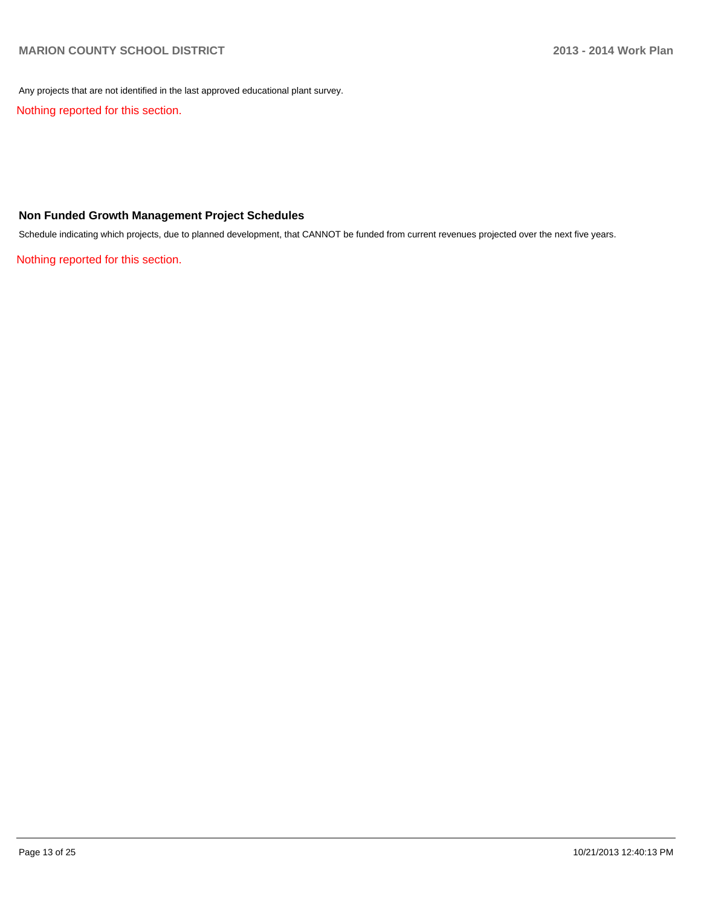Any projects that are not identified in the last approved educational plant survey.

Nothing reported for this section.

#### **Non Funded Growth Management Project Schedules**

Schedule indicating which projects, due to planned development, that CANNOT be funded from current revenues projected over the next five years.

Nothing reported for this section.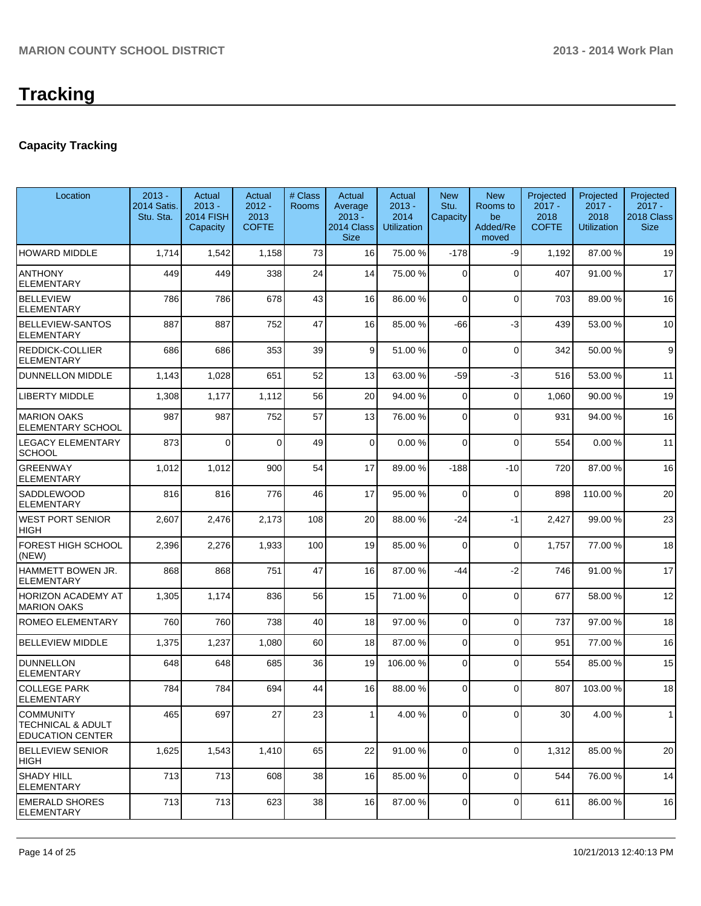### **Capacity Tracking**

| Location                                                                    | $2013 -$<br><b>2014 Satis.</b><br>Stu. Sta. | Actual<br>$2013 -$<br><b>2014 FISH</b><br>Capacity | Actual<br>$2012 -$<br>2013<br><b>COFTE</b> | # Class<br><b>Rooms</b> | Actual<br>Average<br>$2013 -$<br>2014 Class<br><b>Size</b> | Actual<br>$2013 -$<br>2014<br><b>Utilization</b> | <b>New</b><br>Stu.<br>Capacity | <b>New</b><br>Rooms to<br>be<br>Added/Re<br>moved | Projected<br>$2017 -$<br>2018<br><b>COFTE</b> | Projected<br>$2017 -$<br>2018<br><b>Utilization</b> | Projected<br>$2017 -$<br>2018 Class<br><b>Size</b> |
|-----------------------------------------------------------------------------|---------------------------------------------|----------------------------------------------------|--------------------------------------------|-------------------------|------------------------------------------------------------|--------------------------------------------------|--------------------------------|---------------------------------------------------|-----------------------------------------------|-----------------------------------------------------|----------------------------------------------------|
| <b>HOWARD MIDDLE</b>                                                        | 1,714                                       | 1,542                                              | 1,158                                      | 73                      | 16                                                         | 75.00 %                                          | $-178$                         | -9                                                | 1,192                                         | 87.00 %                                             | 19                                                 |
| <b>ANTHONY</b><br><b>ELEMENTARY</b>                                         | 449                                         | 449                                                | 338                                        | 24                      | 14                                                         | 75.00 %                                          | $\Omega$                       | $\Omega$                                          | 407                                           | 91.00%                                              | 17                                                 |
| <b>BELLEVIEW</b><br><b>ELEMENTARY</b>                                       | 786                                         | 786                                                | 678                                        | 43                      | 16                                                         | 86.00 %                                          | 0                              | $\Omega$                                          | 703                                           | 89.00 %                                             | 16                                                 |
| <b>BELLEVIEW-SANTOS</b><br>ELEMENTARY                                       | 887                                         | 887                                                | 752                                        | 47                      | 16                                                         | 85.00 %                                          | $-66$                          | $-3$                                              | 439                                           | 53.00 %                                             | 10                                                 |
| <b>REDDICK-COLLIER</b><br><b>ELEMENTARY</b>                                 | 686                                         | 686                                                | 353                                        | 39                      | 9                                                          | 51.00 %                                          | 0                              | $\Omega$                                          | 342                                           | 50.00 %                                             | 9                                                  |
| <b>DUNNELLON MIDDLE</b>                                                     | 1,143                                       | 1,028                                              | 651                                        | 52                      | 13                                                         | 63.00 %                                          | $-59$                          | $-3$                                              | 516                                           | 53.00 %                                             | 11                                                 |
| <b>LIBERTY MIDDLE</b>                                                       | 1,308                                       | 1,177                                              | 1,112                                      | 56                      | 20                                                         | 94.00 %                                          | $\Omega$                       | $\Omega$                                          | 1,060                                         | 90.00%                                              | 19                                                 |
| <b>MARION OAKS</b><br>ELEMENTARY SCHOOL                                     | 987                                         | 987                                                | 752                                        | 57                      | 13                                                         | 76.00 %                                          | $\Omega$                       | $\Omega$                                          | 931                                           | 94.00%                                              | 16                                                 |
| <b>LEGACY ELEMENTARY</b><br><b>SCHOOL</b>                                   | 873                                         | 0                                                  | $\Omega$                                   | 49                      | 0                                                          | 0.00%                                            | $\Omega$                       | $\Omega$                                          | 554                                           | 0.00%                                               | 11                                                 |
| <b>GREENWAY</b><br><b>ELEMENTARY</b>                                        | 1,012                                       | 1,012                                              | 900                                        | 54                      | 17                                                         | 89.00 %                                          | $-188$                         | $-10$                                             | 720                                           | 87.00 %                                             | 16                                                 |
| <b>SADDLEWOOD</b><br>ELEMENTARY                                             | 816                                         | 816                                                | 776                                        | 46                      | 17                                                         | 95.00 %                                          | 0                              | $\Omega$                                          | 898                                           | 110.00%                                             | 20                                                 |
| IWEST PORT SENIOR<br><b>HIGH</b>                                            | 2,607                                       | 2,476                                              | 2,173                                      | 108                     | 20                                                         | 88.00 %                                          | $-24$                          | $-1$                                              | 2,427                                         | 99.00 %                                             | 23                                                 |
| <b>FOREST HIGH SCHOOL</b><br>(NEW)                                          | 2,396                                       | 2,276                                              | 1,933                                      | 100                     | 19                                                         | 85.00 %                                          | 0                              | $\Omega$                                          | 1,757                                         | 77.00 %                                             | 18                                                 |
| <b>HAMMETT BOWEN JR.</b><br><b>ELEMENTARY</b>                               | 868                                         | 868                                                | 751                                        | 47                      | 16                                                         | 87.00 %                                          | -44                            | $-2$                                              | 746                                           | 91.00%                                              | 17                                                 |
| <b>HORIZON ACADEMY AT</b><br>IMARION OAKS                                   | 1,305                                       | 1,174                                              | 836                                        | 56                      | 15                                                         | 71.00 %                                          | 0                              | $\Omega$                                          | 677                                           | 58.00 %                                             | 12                                                 |
| <b>ROMEO ELEMENTARY</b>                                                     | 760                                         | 760                                                | 738                                        | 40                      | 18                                                         | 97.00 %                                          | 0                              | $\Omega$                                          | 737                                           | 97.00 %                                             | 18                                                 |
| <b>BELLEVIEW MIDDLE</b>                                                     | 1,375                                       | 1,237                                              | 1,080                                      | 60                      | 18                                                         | 87.00 %                                          | 0                              | $\Omega$                                          | 951                                           | 77.00 %                                             | 16                                                 |
| DUNNELLON<br><b>ELEMENTARY</b>                                              | 648                                         | 648                                                | 685                                        | 36                      | 19                                                         | 106.00 %                                         | 0                              | $\Omega$                                          | 554                                           | 85.00 %                                             | 15                                                 |
| <b>COLLEGE PARK</b><br>ELEMENTARY                                           | 784                                         | 784                                                | 694                                        | 44                      | 16                                                         | 88.00 %                                          | 0                              | $\Omega$                                          | 807                                           | 103.00%                                             | 18                                                 |
| <b>COMMUNITY</b><br><b>TECHNICAL &amp; ADULT</b><br><b>EDUCATION CENTER</b> | 465                                         | 697                                                | 27                                         | 23                      | 1                                                          | 4.00 %                                           | 0                              | $\overline{0}$                                    | 30                                            | 4.00%                                               | 1                                                  |
| <b>BELLEVIEW SENIOR</b><br> HIGH                                            | 1,625                                       | 1,543                                              | 1,410                                      | 65                      | 22                                                         | 91.00%                                           | 0                              | $\Omega$                                          | 1,312                                         | 85.00 %                                             | 20                                                 |
| SHADY HILL<br>ELEMENTARY                                                    | 713                                         | 713                                                | 608                                        | 38                      | 16                                                         | 85.00 %                                          | 0                              | $\Omega$                                          | 544                                           | 76.00 %                                             | 14                                                 |
| <b>EMERALD SHORES</b><br>ELEMENTARY                                         | 713                                         | 713                                                | 623                                        | 38                      | 16                                                         | 87.00 %                                          | $\overline{0}$                 | $\overline{0}$                                    | 611                                           | 86.00 %                                             | 16                                                 |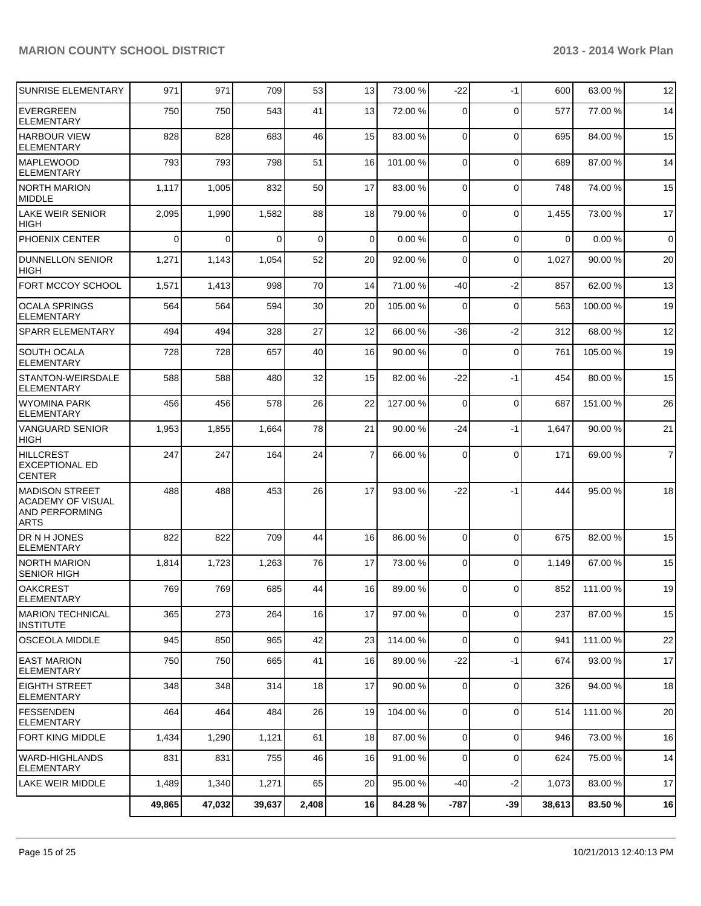| <b>SUNRISE ELEMENTARY</b>                                                           | 971      | 971      | 709      | 53          | 13              | 73.00 %  | $-22$          | $-1$        | 600      | 63.00%   | 12             |
|-------------------------------------------------------------------------------------|----------|----------|----------|-------------|-----------------|----------|----------------|-------------|----------|----------|----------------|
| <b>EVERGREEN</b><br><b>ELEMENTARY</b>                                               | 750      | 750      | 543      | 41          | 13              | 72.00 %  | $\Omega$       | $\Omega$    | 577      | 77.00 %  | 14             |
| <b>HARBOUR VIEW</b><br><b>ELEMENTARY</b>                                            | 828      | 828      | 683      | 46          | 15              | 83.00 %  | $\Omega$       | $\mathbf 0$ | 695      | 84.00%   | 15             |
| <b>MAPLEWOOD</b><br>ELEMENTARY                                                      | 793      | 793      | 798      | 51          | 16              | 101.00 % | $\Omega$       | $\Omega$    | 689      | 87.00 %  | 14             |
| <b>NORTH MARION</b><br><b>MIDDLE</b>                                                | 1,117    | 1,005    | 832      | 50          | 17              | 83.00 %  | $\Omega$       | $\Omega$    | 748      | 74.00%   | 15             |
| <b>LAKE WEIR SENIOR</b><br><b>HIGH</b>                                              | 2,095    | 1,990    | 1,582    | 88          | 18              | 79.00 %  | $\Omega$       | $\Omega$    | 1,455    | 73.00 %  | 17             |
| PHOENIX CENTER                                                                      | $\Omega$ | $\Omega$ | $\Omega$ | $\mathbf 0$ | $\Omega$        | 0.00%    | $\Omega$       | $\mathbf 0$ | $\Omega$ | 0.00%    | $\overline{0}$ |
| <b>DUNNELLON SENIOR</b><br><b>HIGH</b>                                              | 1,271    | 1,143    | 1,054    | 52          | 20              | 92.00 %  | $\Omega$       | $\Omega$    | 1,027    | 90.00%   | 20             |
| <b>FORT MCCOY SCHOOL</b>                                                            | 1,571    | 1,413    | 998      | 70          | 14              | 71.00 %  | -40            | $-2$        | 857      | 62.00%   | 13             |
| <b>OCALA SPRINGS</b><br><b>ELEMENTARY</b>                                           | 564      | 564      | 594      | 30          | 20              | 105.00 % | $\overline{0}$ | $\Omega$    | 563      | 100.00 % | 19             |
| <b>SPARR ELEMENTARY</b>                                                             | 494      | 494      | 328      | 27          | 12              | 66.00 %  | $-36$          | $-2$        | 312      | 68.00 %  | 12             |
| <b>SOUTH OCALA</b><br><b>ELEMENTARY</b>                                             | 728      | 728      | 657      | 40          | 16              | 90.00 %  | $\Omega$       | $\Omega$    | 761      | 105.00 % | 19             |
| STANTON-WEIRSDALE<br><b>ELEMENTARY</b>                                              | 588      | 588      | 480      | 32          | 15              | 82.00 %  | $-22$          | $-1$        | 454      | 80.00%   | 15             |
| <b>WYOMINA PARK</b><br><b>ELEMENTARY</b>                                            | 456      | 456      | 578      | 26          | 22              | 127.00 % | $\Omega$       | $\mathbf 0$ | 687      | 151.00%  | 26             |
| <b>VANGUARD SENIOR</b><br><b>HIGH</b>                                               | 1,953    | 1,855    | 1,664    | 78          | 21              | 90.00 %  | $-24$          | -1          | 1,647    | 90.00 %  | 21             |
| <b>HILLCREST</b><br><b>EXCEPTIONAL ED</b><br><b>CENTER</b>                          | 247      | 247      | 164      | 24          | $\overline{7}$  | 66.00 %  | $\Omega$       | $\Omega$    | 171      | 69.00 %  | $\overline{7}$ |
| IMADISON STREET<br><b>ACADEMY OF VISUAL</b><br><b>AND PERFORMING</b><br><b>ARTS</b> | 488      | 488      | 453      | 26          | 17              | 93.00 %  | $-22$          | $-1$        | 444      | 95.00 %  | 18             |
| <b>DRNHJONES</b><br><b>ELEMENTARY</b>                                               | 822      | 822      | 709      | 44          | 16              | 86.00 %  | $\Omega$       | $\Omega$    | 675      | 82.00%   | 15             |
| <b>NORTH MARION</b><br><b>SENIOR HIGH</b>                                           | 1,814    | 1,723    | 1,263    | 76          | 17              | 73.00 %  | $\Omega$       | $\Omega$    | 1,149    | 67.00 %  | 15             |
| <b>OAKCREST</b><br><b>ELEMENTARY</b>                                                | 769      | 769      | 685      | 44          | 16 <sup>1</sup> | 89.00 %  | $\overline{0}$ | $\Omega$    | 852      | 111.00%  | 19             |
| <b>IMARION TECHNICAL</b><br><b>INSTITUTE</b>                                        | 365      | 273      | 264      | 16          | 17              | 97.00 %  | $\overline{0}$ | $\mathbf 0$ | 237      | 87.00 %  | 15             |
| OSCEOLA MIDDLE                                                                      | 945      | 850      | 965      | 42          | 23              | 114.00 % | $\overline{0}$ | $\mathbf 0$ | 941      | 111.00%  | 22             |
| <b>EAST MARION</b><br><b>ELEMENTARY</b>                                             | 750      | 750      | 665      | 41          | 16              | 89.00 %  | $-22$          | $-1$        | 674      | 93.00 %  | 17             |
| <b>EIGHTH STREET</b><br><b>ELEMENTARY</b>                                           | 348      | 348      | 314      | 18          | 17              | 90.00 %  | 0              | $\mathbf 0$ | 326      | 94.00%   | 18             |
| <b>FESSENDEN</b><br>ELEMENTARY                                                      | 464      | 464      | 484      | 26          | 19              | 104.00 % | $\overline{0}$ | $\mathbf 0$ | 514      | 111.00%  | 20             |
| FORT KING MIDDLE                                                                    | 1,434    | 1,290    | 1,121    | 61          | 18              | 87.00 %  | $\overline{0}$ | $\mathbf 0$ | 946      | 73.00 %  | 16             |
| <b>WARD-HIGHLANDS</b><br><b>ELEMENTARY</b>                                          | 831      | 831      | 755      | 46          | 16              | 91.00 %  | $\overline{0}$ | $\mathbf 0$ | 624      | 75.00 %  | 14             |
| <b>LAKE WEIR MIDDLE</b>                                                             | 1,489    | 1,340    | 1,271    | 65          | 20              | 95.00 %  | $-40$          | $-2$        | 1,073    | 83.00 %  | 17             |
|                                                                                     | 49,865   | 47,032   | 39,637   | 2,408       | 16              | 84.28%   | $-787$         | $-39$       | 38,613   | 83.50 %  | 16             |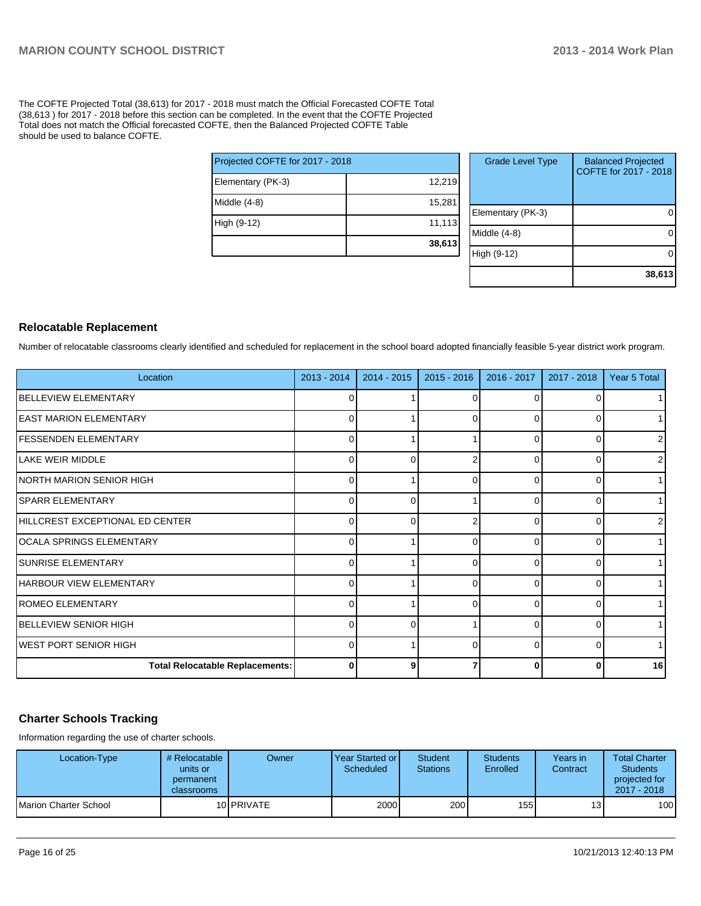The COFTE Projected Total (38,613) for 2017 - 2018 must match the Official Forecasted COFTE Total (38,613 ) for 2017 - 2018 before this section can be completed. In the event that the COFTE Projected Total does not match the Official forecasted COFTE, then the Balanced Projected COFTE Table should be used to balance COFTE.

| Projected COFTE for 2017 - 2018 |        |  |  |  |  |
|---------------------------------|--------|--|--|--|--|
| Elementary (PK-3)               | 12,219 |  |  |  |  |
| Middle $(4-8)$                  | 15,281 |  |  |  |  |
| High (9-12)                     | 11,113 |  |  |  |  |
|                                 | 38,613 |  |  |  |  |

| <b>Grade Level Type</b> | <b>Balanced Projected</b><br>COFTE for 2017 - 2018 |
|-------------------------|----------------------------------------------------|
| Elementary (PK-3)       |                                                    |
| Middle $(4-8)$          |                                                    |
| High (9-12)             |                                                    |
|                         | 38,613                                             |

#### **Relocatable Replacement**

Number of relocatable classrooms clearly identified and scheduled for replacement in the school board adopted financially feasible 5-year district work program.

| Location                               | 2013 - 2014 | 2014 - 2015 | $2015 - 2016$ | 2016 - 2017 | 2017 - 2018 | Year 5 Total   |
|----------------------------------------|-------------|-------------|---------------|-------------|-------------|----------------|
| <b>BELLEVIEW ELEMENTARY</b>            |             |             |               |             |             |                |
| <b>EAST MARION ELEMENTARY</b>          | 0           |             | 0             | 0           | 0           |                |
| <b>FESSENDEN ELEMENTARY</b>            | 0           |             |               |             | 0           | $\overline{2}$ |
| LAKE WEIR MIDDLE                       | 0           | 0           |               | 0           | 0           | $\overline{2}$ |
| NORTH MARION SENIOR HIGH               | 0           |             |               | 0           | ი           | $\mathbf{1}$   |
| <b>SPARR ELEMENTARY</b>                | 0           | 0           |               | 0           | 0           | 1              |
| HILLCREST EXCEPTIONAL ED CENTER        | O           |             |               | U           | U           | 2              |
| OCALA SPRINGS ELEMENTARY               | 0           |             | 0             | 0           | 0           | 1              |
| <b>SUNRISE ELEMENTARY</b>              | O           |             |               | U           | 0           |                |
| <b>HARBOUR VIEW ELEMENTARY</b>         | 0           |             | 0             | $\Omega$    | 0           | $\mathbf{1}$   |
| <b>ROMEO ELEMENTARY</b>                | $\Omega$    |             |               | $\Omega$    | O           | $\mathbf{1}$   |
| BELLEVIEW SENIOR HIGH                  | 0           | $\Omega$    |               | 0           | 0           | 1 <sup>1</sup> |
| WEST PORT SENIOR HIGH                  | 0           |             | U             | $\Omega$    | 0           | $\mathbf{1}$   |
| <b>Total Relocatable Replacements:</b> | 0           | 9           |               | 0           | 0           | 16             |

#### **Charter Schools Tracking**

Information regarding the use of charter schools.

| Location-Type         | # Relocatable  <br>units or<br>permanent<br><b>classrooms</b> | Owner              | Year Started or I<br>Scheduled | Student<br><b>Stations</b> | <b>Students</b><br>Enrolled | Years in<br>Contract | <b>Total Charter</b><br><b>Students</b><br>projected for<br>2017 - 2018 |
|-----------------------|---------------------------------------------------------------|--------------------|--------------------------------|----------------------------|-----------------------------|----------------------|-------------------------------------------------------------------------|
| Marion Charter School |                                                               | 10 <b>IPRIVATE</b> | 2000                           | 200                        | 155                         | 13 <sup>1</sup>      | 100                                                                     |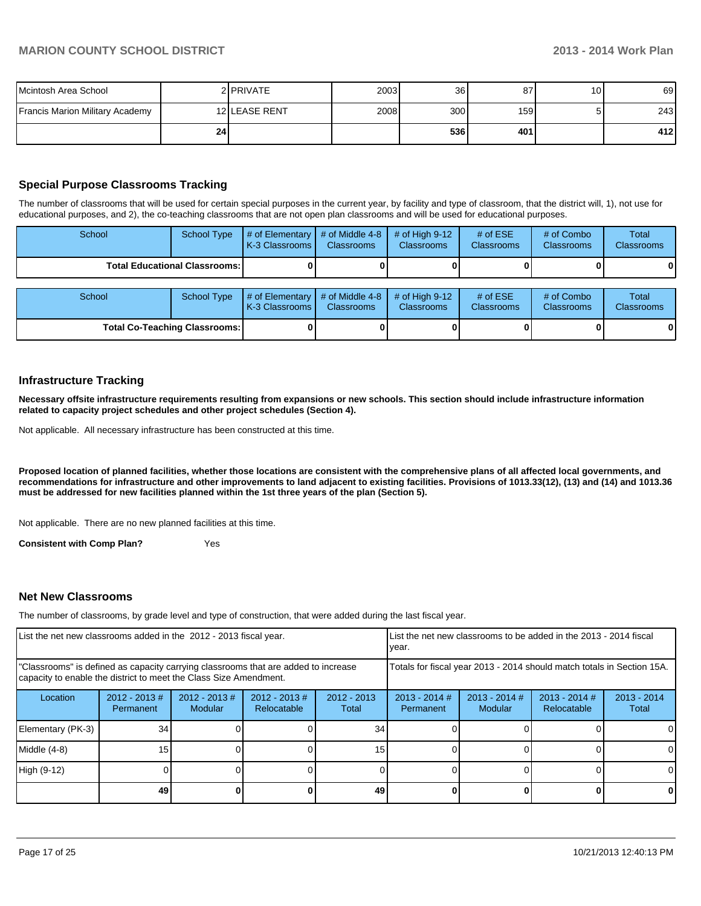| Mcintosh Area School                   |            | 2 PRIVATE     | 2003 | 36               | 87               | 10 <sup>1</sup> | 69  |
|----------------------------------------|------------|---------------|------|------------------|------------------|-----------------|-----|
| <b>Francis Marion Military Academy</b> |            | 12 LEASE RENT | 2008 | 300 <sup>1</sup> | 159 <sup>l</sup> |                 | 243 |
|                                        | <b>241</b> |               |      | 536 l            | 401              |                 | 412 |

#### **Special Purpose Classrooms Tracking**

The number of classrooms that will be used for certain special purposes in the current year, by facility and type of classroom, that the district will, 1), not use for educational purposes, and 2), the co-teaching classrooms that are not open plan classrooms and will be used for educational purposes.

| School                                 | School Type | $\parallel$ # of Elementary $\parallel$ # of Middle 4-8 $\parallel$ # of High 9-12<br>K-3 Classrooms I | <b>Classrooms</b> | <b>Classrooms</b> | # of $ESE$<br><b>Classrooms</b> | # of Combo<br><b>Classrooms</b> | Total<br><b>Classrooms</b> |
|----------------------------------------|-------------|--------------------------------------------------------------------------------------------------------|-------------------|-------------------|---------------------------------|---------------------------------|----------------------------|
| <b>Total Educational Classrooms: I</b> |             |                                                                                                        |                   |                   |                                 | 0                               | 0                          |

| School                               | School Type | $\parallel$ # of Elementary $\parallel$ # of Middle 4-8 $\parallel$ # of High 9-12<br>K-3 Classrooms I | <b>Classrooms</b> | <b>Classrooms</b> | $#$ of ESE<br><b>Classrooms</b> | # of Combo<br><b>Classrooms</b> | Total<br><b>Classrooms</b> |
|--------------------------------------|-------------|--------------------------------------------------------------------------------------------------------|-------------------|-------------------|---------------------------------|---------------------------------|----------------------------|
| <b>Total Co-Teaching Classrooms:</b> |             |                                                                                                        |                   |                   | o                               |                                 | 0                          |

#### **Infrastructure Tracking**

**Necessary offsite infrastructure requirements resulting from expansions or new schools. This section should include infrastructure information related to capacity project schedules and other project schedules (Section 4).**

Not applicable. All necessary infrastructure has been constructed at this time.

**Proposed location of planned facilities, whether those locations are consistent with the comprehensive plans of all affected local governments, and recommendations for infrastructure and other improvements to land adjacent to existing facilities. Provisions of 1013.33(12), (13) and (14) and 1013.36 must be addressed for new facilities planned within the 1st three years of the plan (Section 5).**

Not applicable. There are no new planned facilities at this time.

**Consistent with Comp Plan?** Yes

#### **Net New Classrooms**

The number of classrooms, by grade level and type of construction, that were added during the last fiscal year.

| List the net new classrooms added in the 2012 - 2013 fiscal year.                                                                                       | lvear.                        |                            | List the net new classrooms to be added in the 2013 - 2014 fiscal |                        |                              |                            |                                                                        |                        |
|---------------------------------------------------------------------------------------------------------------------------------------------------------|-------------------------------|----------------------------|-------------------------------------------------------------------|------------------------|------------------------------|----------------------------|------------------------------------------------------------------------|------------------------|
| "Classrooms" is defined as capacity carrying classrooms that are added to increase<br>capacity to enable the district to meet the Class Size Amendment. |                               |                            |                                                                   |                        |                              |                            | Totals for fiscal year 2013 - 2014 should match totals in Section 15A. |                        |
| Location                                                                                                                                                | $2012 - 2013 \#$<br>Permanent | $2012 - 2013$ #<br>Modular | $2012 - 2013$ #<br>Relocatable                                    | $2012 - 2013$<br>Total | $2013 - 2014$ #<br>Permanent | $2013 - 2014$ #<br>Modular | $2013 - 2014$ #<br><b>Relocatable</b>                                  | $2013 - 2014$<br>Total |
| Elementary (PK-3)                                                                                                                                       | 34                            |                            |                                                                   | 34                     |                              |                            |                                                                        |                        |
| Middle (4-8)                                                                                                                                            | 15                            |                            |                                                                   | 15                     |                              |                            |                                                                        | 0                      |
| High (9-12)                                                                                                                                             |                               |                            |                                                                   |                        |                              |                            |                                                                        |                        |
|                                                                                                                                                         | 49                            |                            |                                                                   | 49                     |                              |                            |                                                                        | 0                      |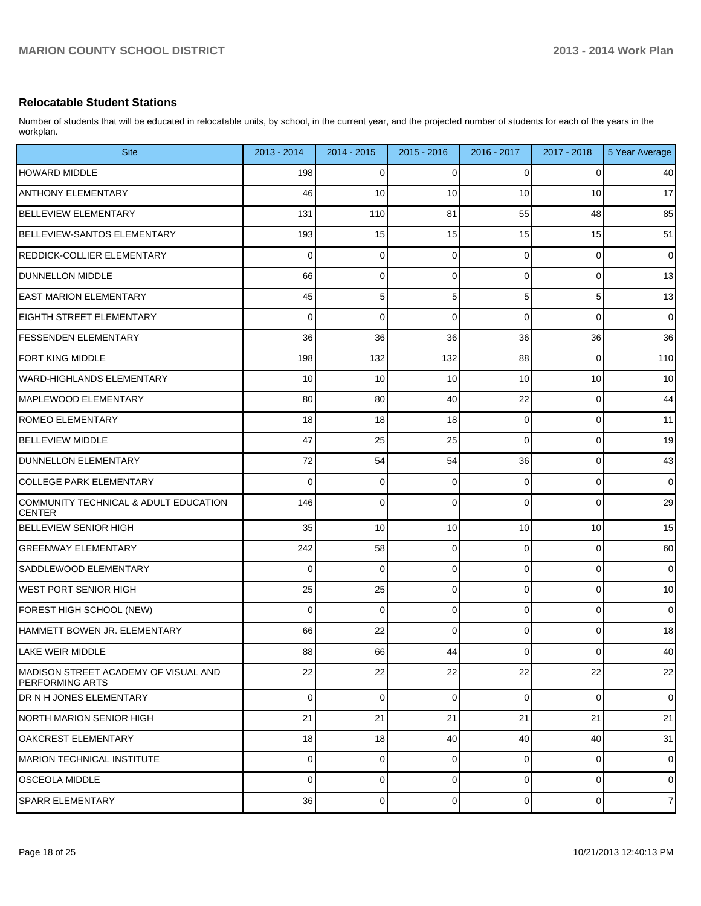#### **Relocatable Student Stations**

Number of students that will be educated in relocatable units, by school, in the current year, and the projected number of students for each of the years in the workplan.

| <b>Site</b>                                                    | 2013 - 2014 | 2014 - 2015    | 2015 - 2016 | 2016 - 2017    | 2017 - 2018    | 5 Year Average |
|----------------------------------------------------------------|-------------|----------------|-------------|----------------|----------------|----------------|
| <b>HOWARD MIDDLE</b>                                           | 198         | 0              | 0           | 0              | 0              | 40             |
| <b>ANTHONY ELEMENTARY</b>                                      | 46          | 10             | 10          | 10             | 10             | 17             |
| <b>BELLEVIEW ELEMENTARY</b>                                    | 131         | 110            | 81          | 55             | 48             | 85             |
| BELLEVIEW-SANTOS ELEMENTARY                                    | 193         | 15             | 15          | 15             | 15             | 51             |
| REDDICK-COLLIER ELEMENTARY                                     | 0           | 0              | $\mathbf 0$ | 0              | 0              | $\pmb{0}$      |
| DUNNELLON MIDDLE                                               | 66          | 0              | 0           | $\overline{0}$ | 0              | 13             |
| <b>EAST MARION ELEMENTARY</b>                                  | 45          | 5              | 5           | 5 <sup>1</sup> | 5              | 13             |
| EIGHTH STREET ELEMENTARY                                       | 0           | 0              | $\Omega$    | $\mathbf 0$    | 0              | $\pmb{0}$      |
| <b>FESSENDEN ELEMENTARY</b>                                    | 36          | 36             | 36          | 36             | 36             | 36             |
| <b>FORT KING MIDDLE</b>                                        | 198         | 132            | 132         | 88             | 0              | 110            |
| WARD-HIGHLANDS ELEMENTARY                                      | 10          | 10             | 10          | 10             | 10             | 10             |
| MAPLEWOOD ELEMENTARY                                           | 80          | 80             | 40          | 22             | 0              | 44             |
| <b>ROMEO ELEMENTARY</b>                                        | 18          | 18             | 18          | 0              | 0              | 11             |
| BELLEVIEW MIDDLE                                               | 47          | 25             | 25          | 0              | 0              | 19             |
| <b>DUNNELLON ELEMENTARY</b>                                    | 72          | 54             | 54          | 36             | 0              | 43             |
| COLLEGE PARK ELEMENTARY                                        | 0           | 0              | $\Omega$    | 0              | 0              | $\mathbf 0$    |
| COMMUNITY TECHNICAL & ADULT EDUCATION<br><b>CENTER</b>         | 146         | 0              | $\Omega$    | $\overline{0}$ | 0              | 29             |
| <b>BELLEVIEW SENIOR HIGH</b>                                   | 35          | 10             | 10          | 10             | 10             | 15             |
| GREENWAY ELEMENTARY                                            | 242         | 58             | $\mathbf 0$ | 0              | 0              | 60             |
| SADDLEWOOD ELEMENTARY                                          | 0           | 0              | $\mathbf 0$ | 0              | 0              | 0              |
| WEST PORT SENIOR HIGH                                          | 25          | 25             | $\mathbf 0$ | 0              | 0              | 10             |
| FOREST HIGH SCHOOL (NEW)                                       | 0           | 0              | $\mathbf 0$ | 0              | 0              | 0              |
| HAMMETT BOWEN JR. ELEMENTARY                                   | 66          | 22             | $\Omega$    | 0              | 0              | 18             |
| LAKE WEIR MIDDLE                                               | 88          | 66 I           | 44          | $\overline{0}$ | $\overline{0}$ | 40             |
| MADISON STREET ACADEMY OF VISUAL AND<br><b>PERFORMING ARTS</b> | 22          | 22             | 22          | 22             | 22             | 22             |
| DR N H JONES ELEMENTARY                                        | $\Omega$    | $\overline{0}$ | 0           | $\overline{0}$ | 0              | $\mathbf 0$    |
| <b>NORTH MARION SENIOR HIGH</b>                                | 21          | 21             | 21          | 21             | 21             | 21             |
| <b>OAKCREST ELEMENTARY</b>                                     | 18          | 18             | 40          | 40             | 40             | 31             |
| MARION TECHNICAL INSTITUTE                                     | $\Omega$    | $\Omega$       | 0           | $\overline{0}$ | 0              | $\mathbf 0$    |
| <b>OSCEOLA MIDDLE</b>                                          | $\Omega$    | $\Omega$       | 0           | $\overline{0}$ | 0              | $\mathbf 0$    |
| <b>SPARR ELEMENTARY</b>                                        | 36          | 0              | $\mathbf 0$ | $\overline{0}$ | 0              | $\overline{7}$ |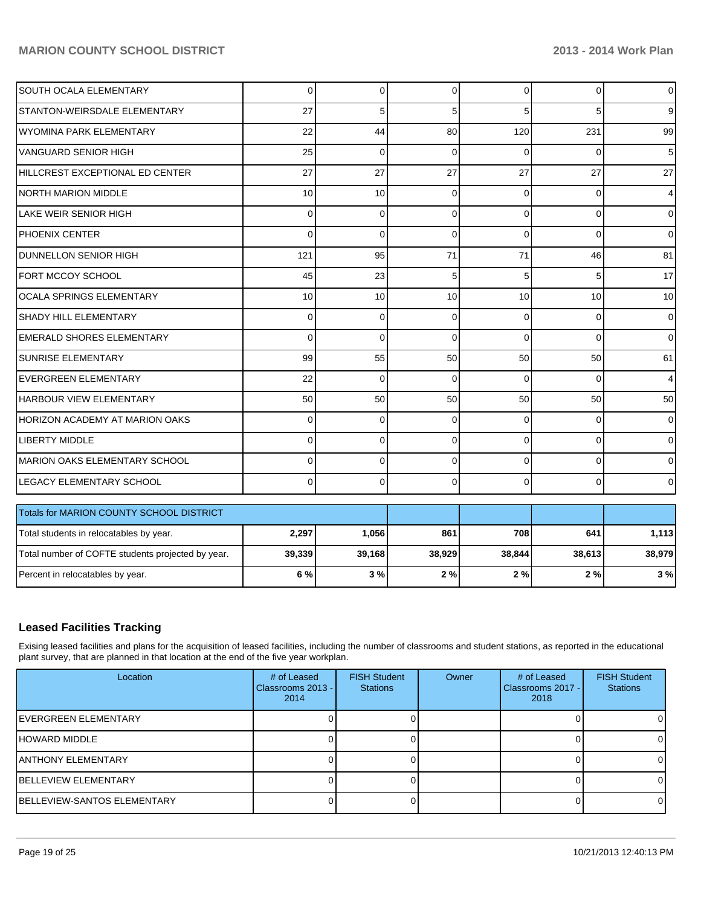| SOUTH OCALA ELEMENTARY                            | $\Omega$    | 0           | $\Omega$    | $\Omega$       | 0        | $\mathbf 0$    |
|---------------------------------------------------|-------------|-------------|-------------|----------------|----------|----------------|
| STANTON-WEIRSDALE ELEMENTARY                      | 27          | 5           | 5           | 5              | 5        | 9 <sup>°</sup> |
| <b>WYOMINA PARK ELEMENTARY</b>                    | 22          | 44          | 80          | 120            | 231      | 99             |
| VANGUARD SENIOR HIGH                              | 25          | 0           | $\Omega$    | $\Omega$       | 0        | 5              |
| HILLCREST EXCEPTIONAL ED CENTER                   | 27          | 27          | 27          | 27             | 27       | 27             |
| <b>NORTH MARION MIDDLE</b>                        | 10          | 10          | $\Omega$    | $\Omega$       | 0        | $\overline{4}$ |
| <b>LAKE WEIR SENIOR HIGH</b>                      | $\Omega$    | 0           | $\Omega$    | $\Omega$       | 0        | $\overline{0}$ |
| <b>PHOENIX CENTER</b>                             | $\Omega$    | 0           | $\Omega$    | $\Omega$       | $\Omega$ | $\overline{0}$ |
| <b>DUNNELLON SENIOR HIGH</b>                      | 121         | 95          | 71          | 71             | 46       | 81             |
| FORT MCCOY SCHOOL                                 | 45          | 23          | 5           | 5 <sup>1</sup> | 5        | 17             |
| <b>OCALA SPRINGS ELEMENTARY</b>                   | 10          | 10          | 10          | 10             | 10       | 10             |
| SHADY HILL ELEMENTARY                             | $\mathbf 0$ | 0           | $\mathbf 0$ | 0              | 0        | $\mathbf 0$    |
| <b>EMERALD SHORES ELEMENTARY</b>                  | $\Omega$    | 0           | $\Omega$    | $\Omega$       | $\Omega$ | $\overline{0}$ |
| <b>SUNRISE ELEMENTARY</b>                         | 99          | 55          | 50          | 50             | 50       | 61             |
| <b>EVERGREEN ELEMENTARY</b>                       | 22          | $\mathbf 0$ | $\mathbf 0$ | $\Omega$       | $\Omega$ | 4              |
| HARBOUR VIEW ELEMENTARY                           | 50          | 50          | 50          | 50             | 50       | 50             |
| <b>HORIZON ACADEMY AT MARION OAKS</b>             | $\Omega$    | 0           | $\Omega$    | $\Omega$       | 0        | $\overline{0}$ |
| <b>LIBERTY MIDDLE</b>                             | 0           | 0           | $\Omega$    | $\Omega$       | 0        | $\overline{0}$ |
| <b>MARION OAKS ELEMENTARY SCHOOL</b>              | $\Omega$    | 0           | $\Omega$    | $\Omega$       | 0        | $\overline{0}$ |
| LEGACY ELEMENTARY SCHOOL                          | $\Omega$    | $\Omega$    | $\Omega$    | $\Omega$       | $\Omega$ | $\overline{0}$ |
| Totals for MARION COUNTY SCHOOL DISTRICT          |             |             |             |                |          |                |
|                                                   |             |             | 861         | 708            | 641      |                |
| Total students in relocatables by year.           | 2,297       | 1,056       |             |                |          | 1,113          |
| Total number of COFTE students projected by year. | 39,339      | 39,168      | 38,929      | 38,844         | 38,613   | 38,979         |
| Percent in relocatables by year.                  | 6 %         | 3%          | 2%          | 2%             | 2%       | 3%             |

#### **Leased Facilities Tracking**

Exising leased facilities and plans for the acquisition of leased facilities, including the number of classrooms and student stations, as reported in the educational plant survey, that are planned in that location at the end of the five year workplan.

| Location                            | # of Leased<br>Classrooms 2013 - I<br>2014 | <b>FISH Student</b><br><b>Stations</b> | Owner | # of Leased<br>Classrooms 2017 - I<br>2018 | <b>FISH Student</b><br><b>Stations</b> |
|-------------------------------------|--------------------------------------------|----------------------------------------|-------|--------------------------------------------|----------------------------------------|
| <b>IEVERGREEN ELEMENTARY</b>        |                                            |                                        |       |                                            |                                        |
| <b>HOWARD MIDDLE</b>                |                                            |                                        |       |                                            |                                        |
| <b>JANTHONY ELEMENTARY</b>          |                                            |                                        |       |                                            |                                        |
| <b>IBELLEVIEW ELEMENTARY</b>        |                                            |                                        |       |                                            |                                        |
| <b>IBELLEVIEW-SANTOS ELEMENTARY</b> |                                            |                                        |       |                                            |                                        |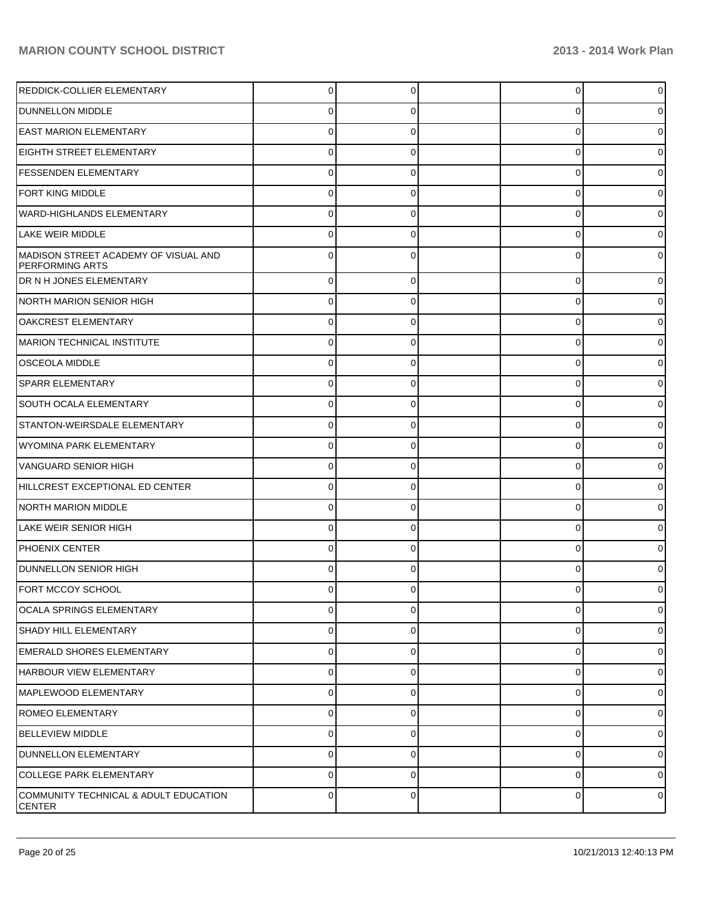| REDDICK-COLLIER ELEMENTARY                                     | $\Omega$    | $\Omega$ | 0        | 0        |
|----------------------------------------------------------------|-------------|----------|----------|----------|
| DUNNELLON MIDDLE                                               | 0           | 0        | 0        |          |
| <b>EAST MARION ELEMENTARY</b>                                  | 0           |          | $\Omega$ |          |
| <b>EIGHTH STREET ELEMENTARY</b>                                | 0           | 0        | 0        |          |
| <b>FESSENDEN ELEMENTARY</b>                                    | 0           |          | 0        |          |
| FORT KING MIDDLE                                               | 0           | 0        | 0        |          |
| WARD-HIGHLANDS ELEMENTARY                                      | 0           | 0        | $\Omega$ |          |
| LAKE WEIR MIDDLE                                               | 0           | 0        | 0        |          |
| MADISON STREET ACADEMY OF VISUAL AND<br><b>PERFORMING ARTS</b> | U           |          | 0        |          |
| DR N H JONES ELEMENTARY                                        | $\Omega$    | 0        | 0        |          |
| <b>NORTH MARION SENIOR HIGH</b>                                | $\Omega$    | 0        | 0        | o        |
| <b>OAKCREST ELEMENTARY</b>                                     | $\Omega$    | 0        | 0        |          |
| MARION TECHNICAL INSTITUTE                                     | $\Omega$    | 0        | 0        | o        |
| <b>OSCEOLA MIDDLE</b>                                          | $\Omega$    | $\Omega$ | 0        |          |
| <b>SPARR ELEMENTARY</b>                                        | $\Omega$    | 0        | 0        |          |
| SOUTH OCALA ELEMENTARY                                         | $\Omega$    | $\Omega$ | 0        |          |
| STANTON-WEIRSDALE ELEMENTARY                                   | $\mathbf 0$ | 0        | 0        | o        |
| WYOMINA PARK ELEMENTARY                                        | $\Omega$    | $\Omega$ | 0        |          |
| <b>VANGUARD SENIOR HIGH</b>                                    | $\Omega$    | 0        | 0        |          |
| HILLCREST EXCEPTIONAL ED CENTER                                | $\Omega$    | 0        | $\Omega$ |          |
| NORTH MARION MIDDLE                                            | $\Omega$    | 0        | 0        | o        |
| <b>LAKE WEIR SENIOR HIGH</b>                                   | $\Omega$    | $\Omega$ | 0        |          |
| <b>PHOENIX CENTER</b>                                          | $\Omega$    | 0        | 0        |          |
| <b>DUNNELLON SENIOR HIGH</b>                                   |             |          | 0        |          |
| <b>FORT MCCOY SCHOOL</b>                                       | 0           |          | ∩        |          |
| <b>OCALA SPRINGS ELEMENTARY</b>                                | $\Omega$    | 0        | 0        | 0        |
| <b>SHADY HILL ELEMENTARY</b>                                   | $\Omega$    | 0        | $\Omega$ | 0        |
| <b>EMERALD SHORES ELEMENTARY</b>                               | $\Omega$    | 0        | 0        | 0        |
| <b>HARBOUR VIEW ELEMENTARY</b>                                 | $\Omega$    | $\Omega$ | 0        | 0        |
| MAPLEWOOD ELEMENTARY                                           | $\mathbf 0$ | $\Omega$ | 0        | 0        |
| <b>ROMEO ELEMENTARY</b>                                        | $\Omega$    | $\Omega$ | 0        | 0        |
| <b>BELLEVIEW MIDDLE</b>                                        | $\Omega$    | 0        | 0        | 0        |
| DUNNELLON ELEMENTARY                                           | $\Omega$    | $\Omega$ | 0        | 0        |
| <b>COLLEGE PARK ELEMENTARY</b>                                 | $\Omega$    | 0        | 0        | $\Omega$ |
| COMMUNITY TECHNICAL & ADULT EDUCATION<br><b>CENTER</b>         | $\Omega$    | $\Omega$ | 0        | 0        |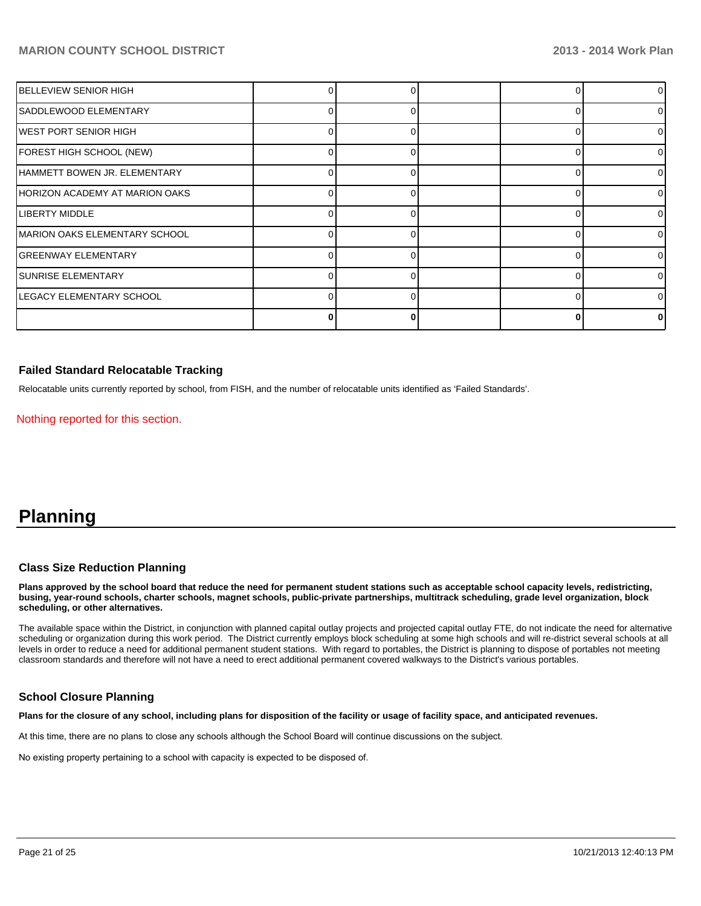| IBELLEVIEW SENIOR HIGH                |    |  |   | 0              |
|---------------------------------------|----|--|---|----------------|
| SADDLEWOOD ELEMENTARY                 |    |  |   | $\overline{0}$ |
| WEST PORT SENIOR HIGH                 |    |  |   | 0              |
| FOREST HIGH SCHOOL (NEW)              |    |  | ∩ | 0              |
| HAMMETT BOWEN JR. ELEMENTARY          |    |  |   | $\Omega$       |
| HORIZON ACADEMY AT MARION OAKS        |    |  | ∩ | 0              |
| <b>LIBERTY MIDDLE</b>                 | 01 |  | 0 | $\overline{0}$ |
| <b>IMARION OAKS ELEMENTARY SCHOOL</b> |    |  | ∩ | $\overline{0}$ |
| <b>GREENWAY ELEMENTARY</b>            |    |  |   | $\overline{0}$ |
| <b>SUNRISE ELEMENTARY</b>             |    |  |   | $\Omega$       |
| LEGACY ELEMENTARY SCHOOL              |    |  |   | $\Omega$       |
|                                       |    |  |   | 0              |

#### **Failed Standard Relocatable Tracking**

Relocatable units currently reported by school, from FISH, and the number of relocatable units identified as 'Failed Standards'.

Nothing reported for this section.

# **Planning**

#### **Class Size Reduction Planning**

**Plans approved by the school board that reduce the need for permanent student stations such as acceptable school capacity levels, redistricting, busing, year-round schools, charter schools, magnet schools, public-private partnerships, multitrack scheduling, grade level organization, block scheduling, or other alternatives.**

The available space within the District, in conjunction with planned capital outlay projects and projected capital outlay FTE, do not indicate the need for alternative scheduling or organization during this work period. The District currently employs block scheduling at some high schools and will re-district several schools at all levels in order to reduce a need for additional permanent student stations. With regard to portables, the District is planning to dispose of portables not meeting classroom standards and therefore will not have a need to erect additional permanent covered walkways to the District's various portables.

#### **School Closure Planning**

**Plans for the closure of any school, including plans for disposition of the facility or usage of facility space, and anticipated revenues.**

At this time, there are no plans to close any schools although the School Board will continue discussions on the subject.

No existing property pertaining to a school with capacity is expected to be disposed of.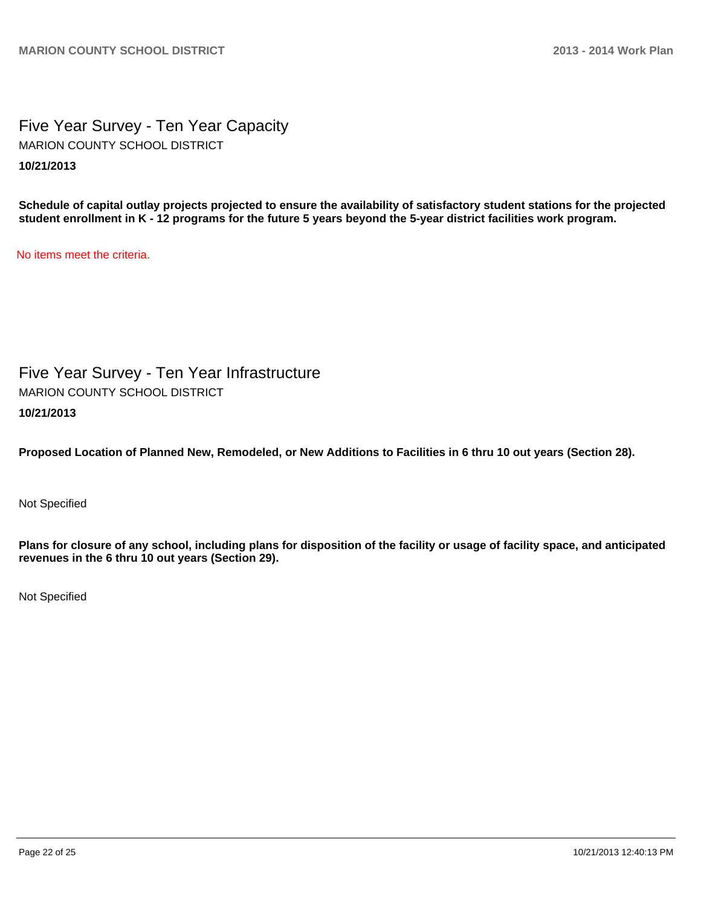Five Year Survey - Ten Year Capacity **10/21/2013** MARION COUNTY SCHOOL DISTRICT

**Schedule of capital outlay projects projected to ensure the availability of satisfactory student stations for the projected student enrollment in K - 12 programs for the future 5 years beyond the 5-year district facilities work program.**

No items meet the criteria.

Five Year Survey - Ten Year Infrastructure **10/21/2013** MARION COUNTY SCHOOL DISTRICT

**Proposed Location of Planned New, Remodeled, or New Additions to Facilities in 6 thru 10 out years (Section 28).**

Not Specified

**Plans for closure of any school, including plans for disposition of the facility or usage of facility space, and anticipated revenues in the 6 thru 10 out years (Section 29).**

Not Specified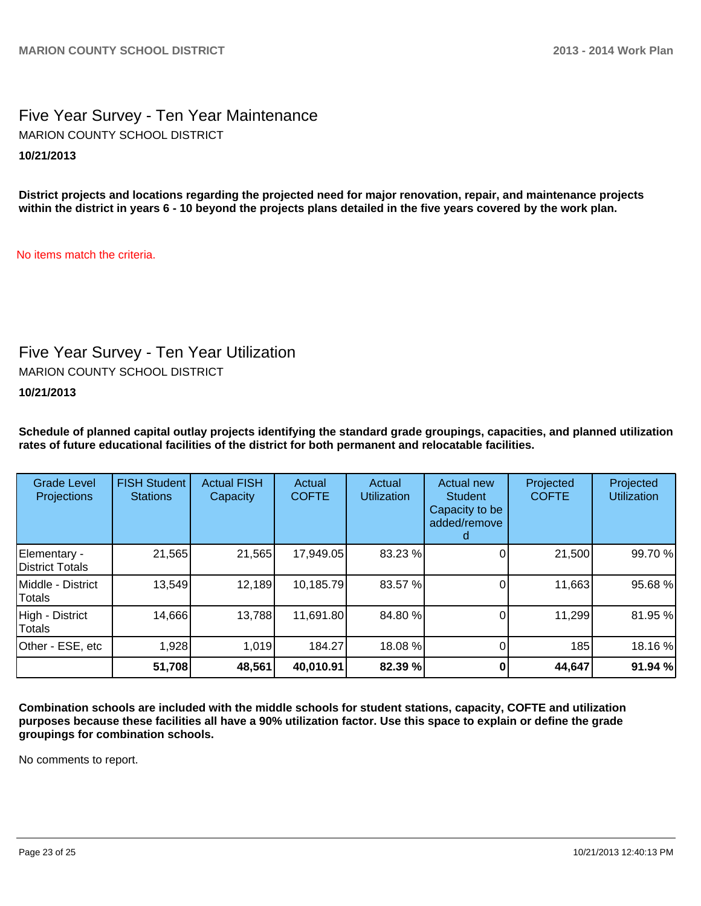## Five Year Survey - Ten Year Maintenance **10/21/2013** MARION COUNTY SCHOOL DISTRICT

**District projects and locations regarding the projected need for major renovation, repair, and maintenance projects within the district in years 6 - 10 beyond the projects plans detailed in the five years covered by the work plan.**

No items match the criteria.

# Five Year Survey - Ten Year Utilization

MARION COUNTY SCHOOL DISTRICT

**10/21/2013**

**Schedule of planned capital outlay projects identifying the standard grade groupings, capacities, and planned utilization rates of future educational facilities of the district for both permanent and relocatable facilities.**

| <b>Grade Level</b><br><b>Projections</b> | <b>FISH Student</b><br><b>Stations</b> | <b>Actual FISH</b><br>Capacity | Actual<br><b>COFTE</b> | Actual<br><b>Utilization</b> | Actual new<br><b>Student</b><br>Capacity to be<br>added/remove | Projected<br><b>COFTE</b> | Projected<br><b>Utilization</b> |
|------------------------------------------|----------------------------------------|--------------------------------|------------------------|------------------------------|----------------------------------------------------------------|---------------------------|---------------------------------|
| Elementary -<br>District Totals          | 21,565                                 | 21,565                         | 17,949.05              | 83.23 %                      |                                                                | 21,500                    | 99.70 %                         |
| Middle - District<br>Totals              | 13,549                                 | 12,189                         | 10,185.79              | 83.57 %                      |                                                                | 11,663                    | 95.68%                          |
| High - District<br>Totals                | 14,666                                 | 13,788                         | 11,691.80              | 84.80 %                      |                                                                | 11,299                    | 81.95%                          |
| Other - ESE, etc                         | 1,928                                  | 1,019                          | 184.27                 | 18.08 %                      |                                                                | 185                       | 18.16%                          |
|                                          | 51,708                                 | 48,561                         | 40,010.91              | 82.39 %                      |                                                                | 44,647                    | 91.94 %                         |

**Combination schools are included with the middle schools for student stations, capacity, COFTE and utilization purposes because these facilities all have a 90% utilization factor. Use this space to explain or define the grade groupings for combination schools.**

No comments to report.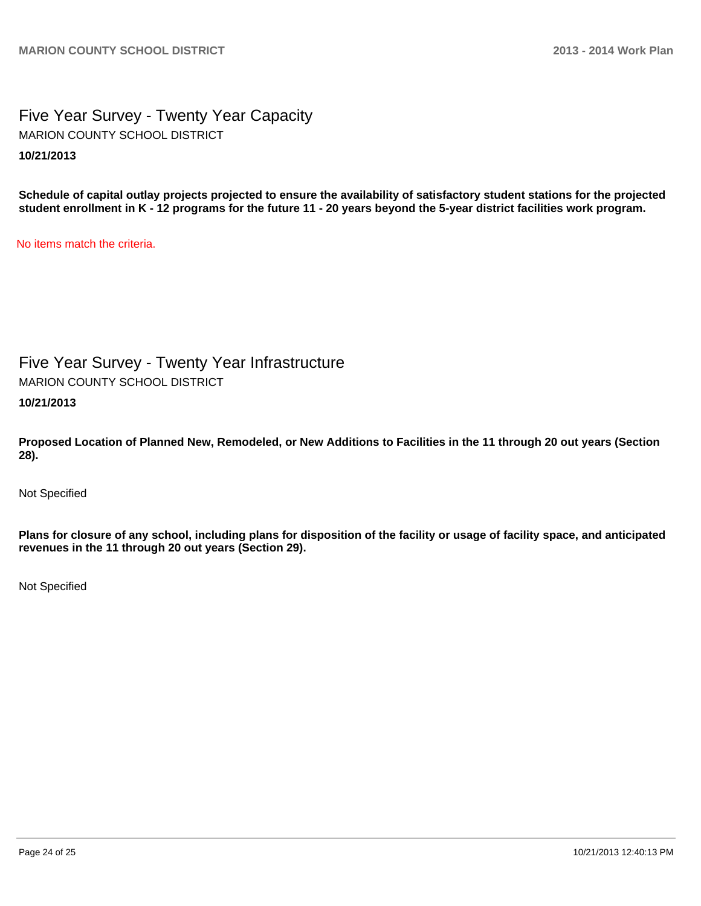## Five Year Survey - Twenty Year Capacity **10/21/2013** MARION COUNTY SCHOOL DISTRICT

**Schedule of capital outlay projects projected to ensure the availability of satisfactory student stations for the projected student enrollment in K - 12 programs for the future 11 - 20 years beyond the 5-year district facilities work program.**

No items match the criteria.

Five Year Survey - Twenty Year Infrastructure

MARION COUNTY SCHOOL DISTRICT

**10/21/2013**

**Proposed Location of Planned New, Remodeled, or New Additions to Facilities in the 11 through 20 out years (Section 28).**

Not Specified

**Plans for closure of any school, including plans for disposition of the facility or usage of facility space, and anticipated revenues in the 11 through 20 out years (Section 29).**

Not Specified